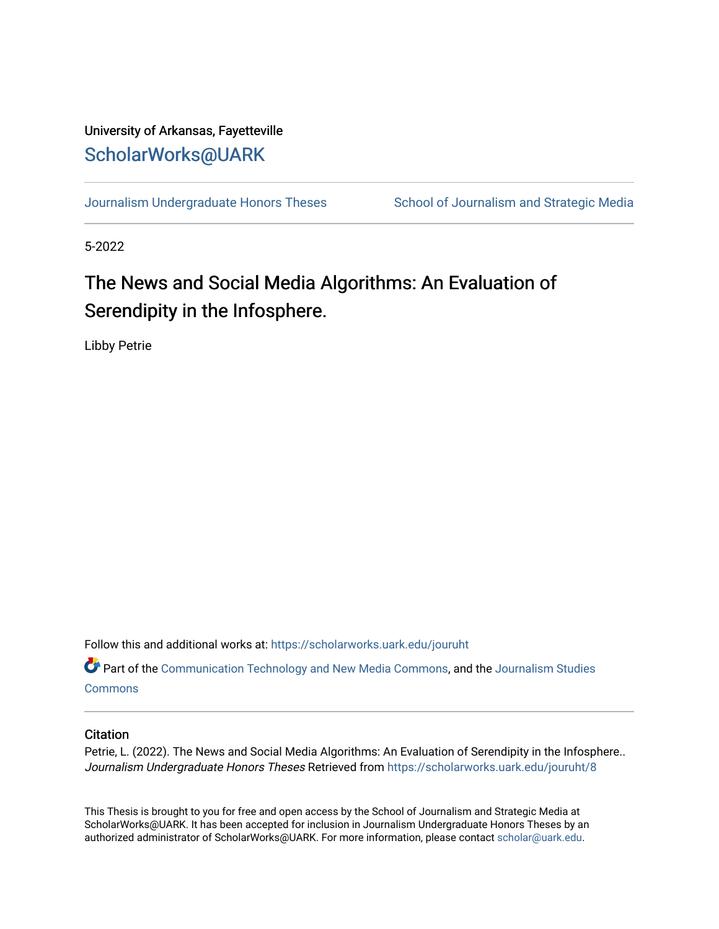# University of Arkansas, Fayetteville [ScholarWorks@UARK](https://scholarworks.uark.edu/)

[Journalism Undergraduate Honors Theses](https://scholarworks.uark.edu/jouruht) School of Journalism and Strategic Media

5-2022

# The News and Social Media Algorithms: An Evaluation of Serendipity in the Infosphere.

Libby Petrie

Follow this and additional works at: [https://scholarworks.uark.edu/jouruht](https://scholarworks.uark.edu/jouruht?utm_source=scholarworks.uark.edu%2Fjouruht%2F8&utm_medium=PDF&utm_campaign=PDFCoverPages) 

Part of the [Communication Technology and New Media Commons,](http://network.bepress.com/hgg/discipline/327?utm_source=scholarworks.uark.edu%2Fjouruht%2F8&utm_medium=PDF&utm_campaign=PDFCoverPages) and the [Journalism Studies](http://network.bepress.com/hgg/discipline/333?utm_source=scholarworks.uark.edu%2Fjouruht%2F8&utm_medium=PDF&utm_campaign=PDFCoverPages) **[Commons](http://network.bepress.com/hgg/discipline/333?utm_source=scholarworks.uark.edu%2Fjouruht%2F8&utm_medium=PDF&utm_campaign=PDFCoverPages)** 

#### **Citation**

Petrie, L. (2022). The News and Social Media Algorithms: An Evaluation of Serendipity in the Infosphere.. Journalism Undergraduate Honors Theses Retrieved from [https://scholarworks.uark.edu/jouruht/8](https://scholarworks.uark.edu/jouruht/8?utm_source=scholarworks.uark.edu%2Fjouruht%2F8&utm_medium=PDF&utm_campaign=PDFCoverPages)

This Thesis is brought to you for free and open access by the School of Journalism and Strategic Media at ScholarWorks@UARK. It has been accepted for inclusion in Journalism Undergraduate Honors Theses by an authorized administrator of ScholarWorks@UARK. For more information, please contact [scholar@uark.edu.](mailto:scholar@uark.edu)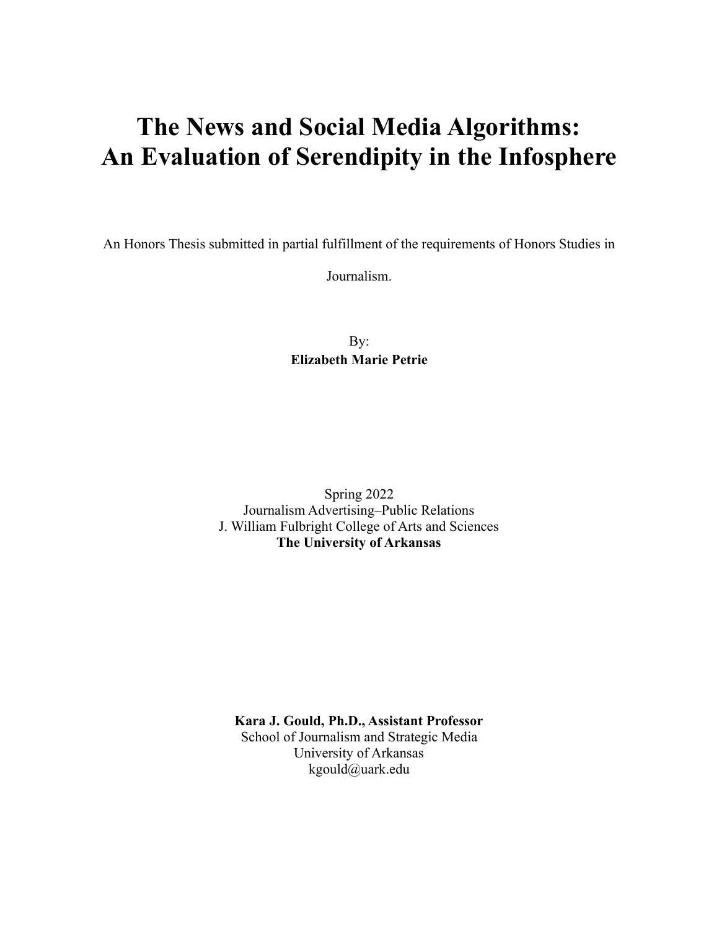# **The News and Social Media Algorithms: An Evaluation of Serendipity in the Infosphere**

An Honors Thesis submitted in partial fulfillment of the requirements of Honors Studies in

Journalism.

By: **Elizabeth Marie Petrie**

Spring 2022 Journalism Advertising–Public Relations J. William Fulbright College of Arts and Sciences **The University of Arkansas**

**Kara J. Gould, Ph.D., Assistant Professor** School of Journalism and Strategic Media University of Arkansas kgould@uark.edu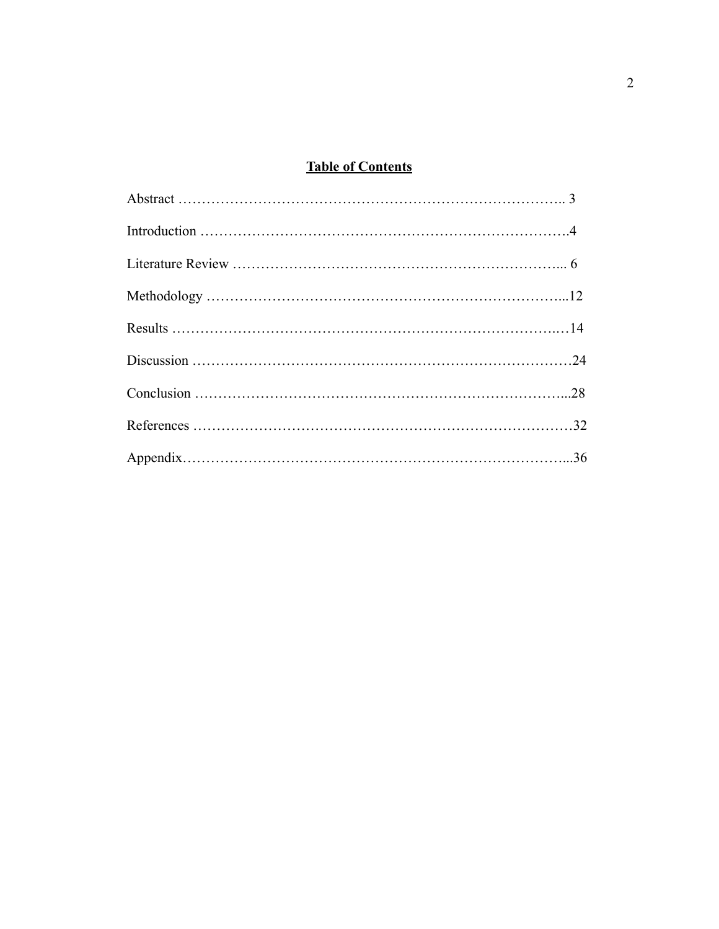## **Table of Contents**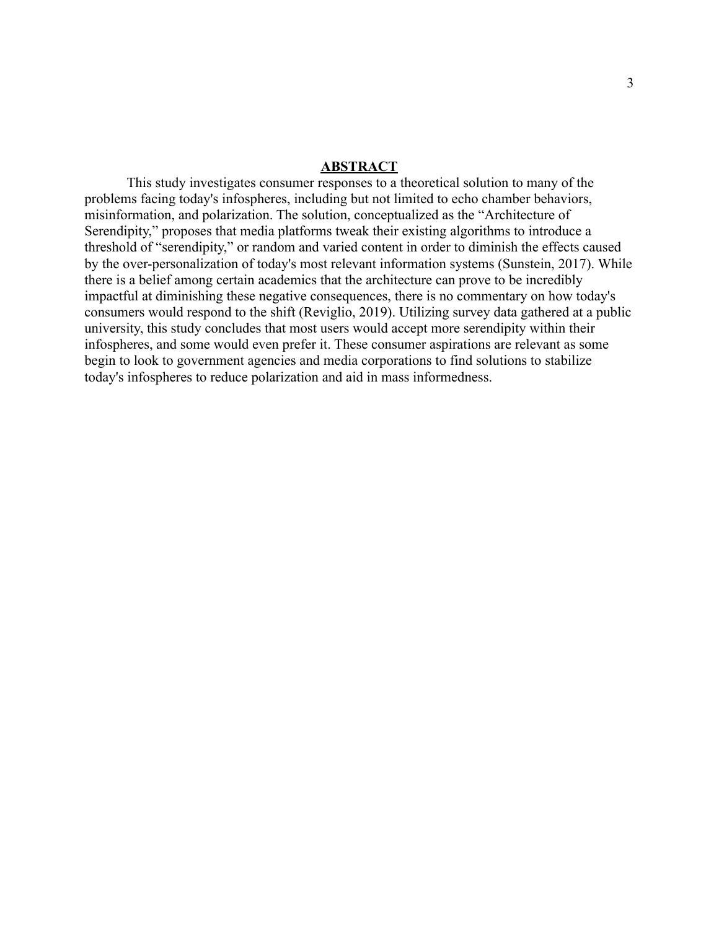#### **ABSTRACT**

This study investigates consumer responses to a theoretical solution to many of the problems facing today's infospheres, including but not limited to echo chamber behaviors, misinformation, and polarization. The solution, conceptualized as the "Architecture of Serendipity," proposes that media platforms tweak their existing algorithms to introduce a threshold of "serendipity," or random and varied content in order to diminish the effects caused by the over-personalization of today's most relevant information systems (Sunstein, 2017). While there is a belief among certain academics that the architecture can prove to be incredibly impactful at diminishing these negative consequences, there is no commentary on how today's consumers would respond to the shift (Reviglio, 2019). Utilizing survey data gathered at a public university, this study concludes that most users would accept more serendipity within their infospheres, and some would even prefer it. These consumer aspirations are relevant as some begin to look to government agencies and media corporations to find solutions to stabilize today's infospheres to reduce polarization and aid in mass informedness.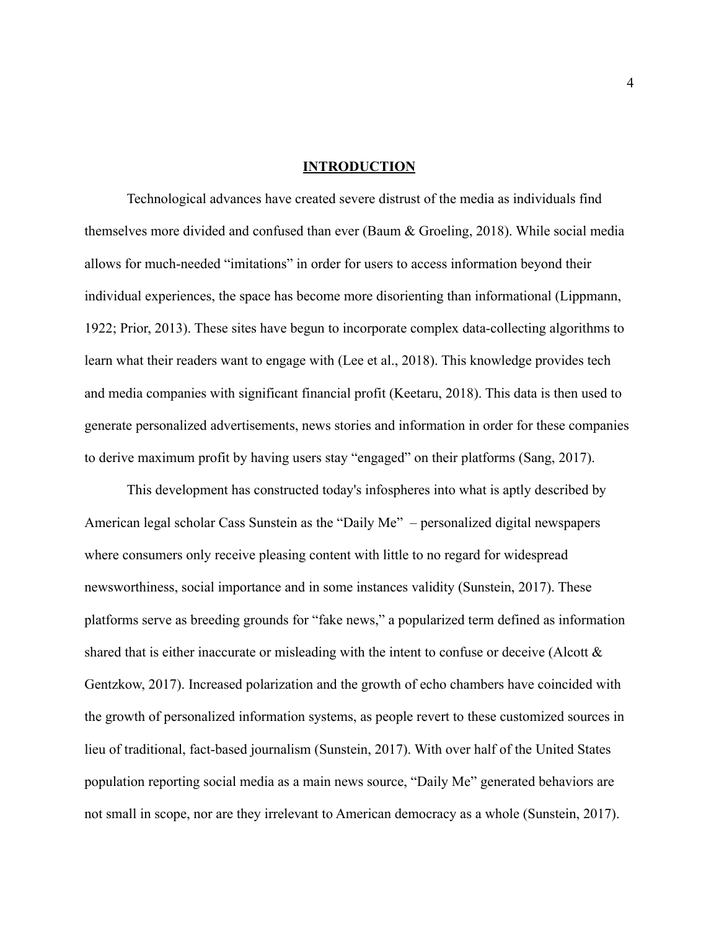#### **INTRODUCTION**

Technological advances have created severe distrust of the media as individuals find themselves more divided and confused than ever (Baum & Groeling, 2018). While social media allows for much-needed "imitations" in order for users to access information beyond their individual experiences, the space has become more disorienting than informational (Lippmann, 1922; Prior, 2013). These sites have begun to incorporate complex data-collecting algorithms to learn what their readers want to engage with (Lee et al., 2018). This knowledge provides tech and media companies with significant financial profit (Keetaru, 2018). This data is then used to generate personalized advertisements, news stories and information in order for these companies to derive maximum profit by having users stay "engaged" on their platforms (Sang, 2017).

This development has constructed today's infospheres into what is aptly described by American legal scholar Cass Sunstein as the "Daily Me" – personalized digital newspapers where consumers only receive pleasing content with little to no regard for widespread newsworthiness, social importance and in some instances validity (Sunstein, 2017). These platforms serve as breeding grounds for "fake news," a popularized term defined as information shared that is either inaccurate or misleading with the intent to confuse or deceive (Alcott  $\&$ Gentzkow, 2017). Increased polarization and the growth of echo chambers have coincided with the growth of personalized information systems, as people revert to these customized sources in lieu of traditional, fact-based journalism (Sunstein, 2017). With over half of the United States population reporting social media as a main news source, "Daily Me" generated behaviors are not small in scope, nor are they irrelevant to American democracy as a whole (Sunstein, 2017).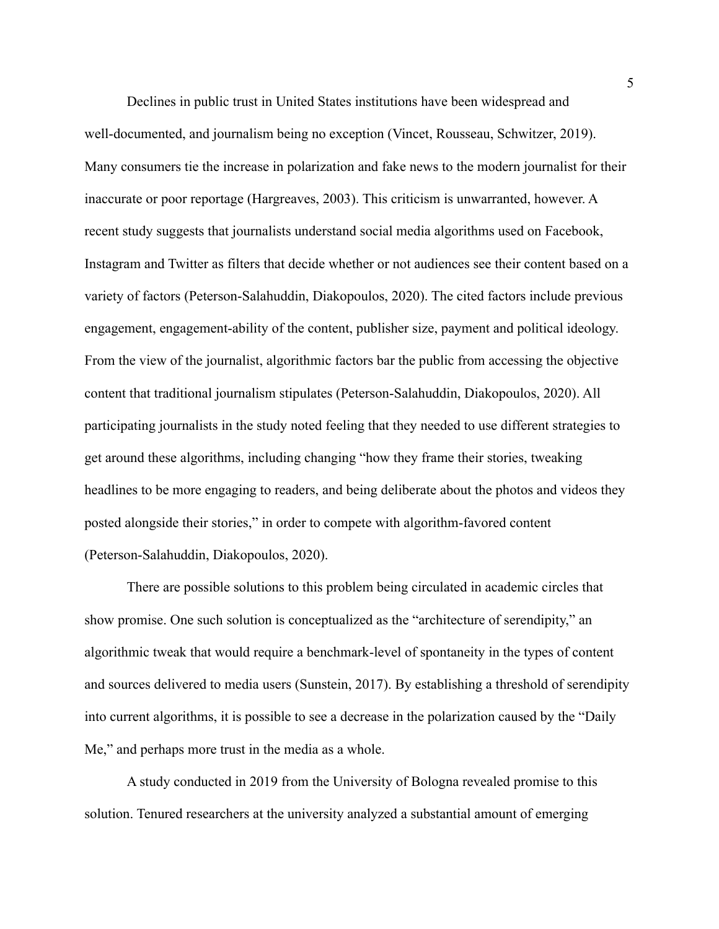Declines in public trust in United States institutions have been widespread and well-documented, and journalism being no exception (Vincet, Rousseau, Schwitzer, 2019). Many consumers tie the increase in polarization and fake news to the modern journalist for their inaccurate or poor reportage (Hargreaves, 2003). This criticism is unwarranted, however. A recent study suggests that journalists understand social media algorithms used on Facebook, Instagram and Twitter as filters that decide whether or not audiences see their content based on a variety of factors (Peterson-Salahuddin, Diakopoulos, 2020). The cited factors include previous engagement, engagement-ability of the content, publisher size, payment and political ideology. From the view of the journalist, algorithmic factors bar the public from accessing the objective content that traditional journalism stipulates (Peterson-Salahuddin, Diakopoulos, 2020). All participating journalists in the study noted feeling that they needed to use different strategies to get around these algorithms, including changing "how they frame their stories, tweaking headlines to be more engaging to readers, and being deliberate about the photos and videos they posted alongside their stories," in order to compete with algorithm-favored content (Peterson-Salahuddin, Diakopoulos, 2020).

There are possible solutions to this problem being circulated in academic circles that show promise. One such solution is conceptualized as the "architecture of serendipity," an algorithmic tweak that would require a benchmark-level of spontaneity in the types of content and sources delivered to media users (Sunstein, 2017). By establishing a threshold of serendipity into current algorithms, it is possible to see a decrease in the polarization caused by the "Daily Me," and perhaps more trust in the media as a whole.

A study conducted in 2019 from the University of Bologna revealed promise to this solution. Tenured researchers at the university analyzed a substantial amount of emerging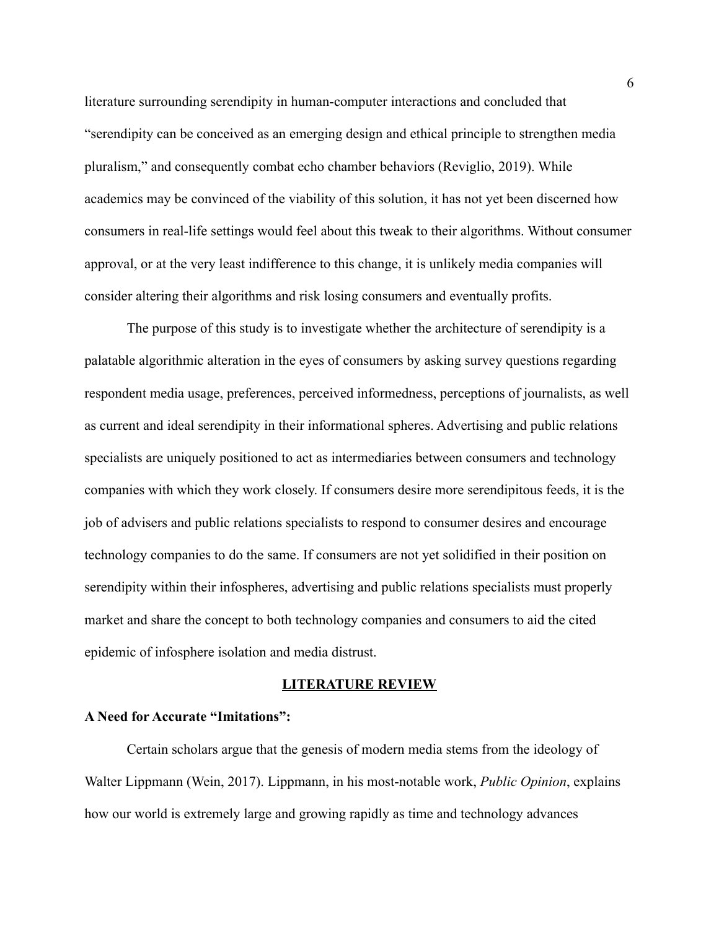literature surrounding serendipity in human-computer interactions and concluded that "serendipity can be conceived as an emerging design and ethical principle to strengthen media pluralism," and consequently combat echo chamber behaviors (Reviglio, 2019). While academics may be convinced of the viability of this solution, it has not yet been discerned how consumers in real-life settings would feel about this tweak to their algorithms. Without consumer approval, or at the very least indifference to this change, it is unlikely media companies will consider altering their algorithms and risk losing consumers and eventually profits.

The purpose of this study is to investigate whether the architecture of serendipity is a palatable algorithmic alteration in the eyes of consumers by asking survey questions regarding respondent media usage, preferences, perceived informedness, perceptions of journalists, as well as current and ideal serendipity in their informational spheres. Advertising and public relations specialists are uniquely positioned to act as intermediaries between consumers and technology companies with which they work closely. If consumers desire more serendipitous feeds, it is the job of advisers and public relations specialists to respond to consumer desires and encourage technology companies to do the same. If consumers are not yet solidified in their position on serendipity within their infospheres, advertising and public relations specialists must properly market and share the concept to both technology companies and consumers to aid the cited epidemic of infosphere isolation and media distrust.

#### **LITERATURE REVIEW**

#### **A Need for Accurate "Imitations":**

Certain scholars argue that the genesis of modern media stems from the ideology of Walter Lippmann (Wein, 2017). Lippmann, in his most-notable work, *Public Opinion*, explains how our world is extremely large and growing rapidly as time and technology advances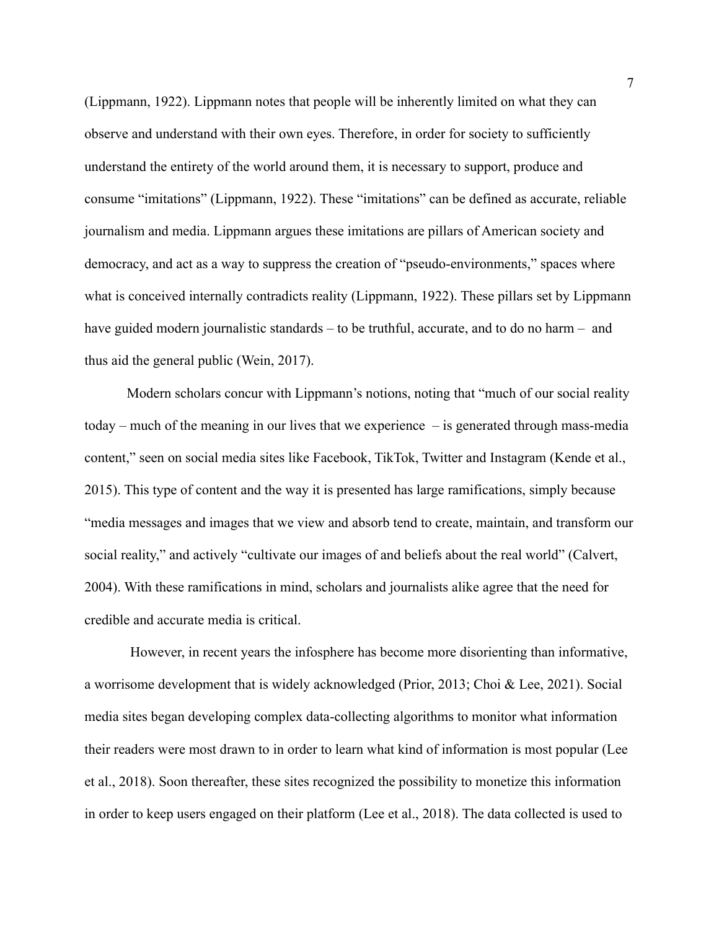(Lippmann, 1922). Lippmann notes that people will be inherently limited on what they can observe and understand with their own eyes. Therefore, in order for society to sufficiently understand the entirety of the world around them, it is necessary to support, produce and consume "imitations" (Lippmann, 1922). These "imitations" can be defined as accurate, reliable journalism and media. Lippmann argues these imitations are pillars of American society and democracy, and act as a way to suppress the creation of "pseudo-environments," spaces where what is conceived internally contradicts reality (Lippmann, 1922). These pillars set by Lippmann have guided modern journalistic standards – to be truthful, accurate, and to do no harm – and thus aid the general public (Wein, 2017).

Modern scholars concur with Lippmann's notions, noting that "much of our social reality today – much of the meaning in our lives that we experience – is generated through mass-media content," seen on social media sites like Facebook, TikTok, Twitter and Instagram (Kende et al., 2015). This type of content and the way it is presented has large ramifications, simply because "media messages and images that we view and absorb tend to create, maintain, and transform our social reality," and actively "cultivate our images of and beliefs about the real world" (Calvert, 2004). With these ramifications in mind, scholars and journalists alike agree that the need for credible and accurate media is critical.

However, in recent years the infosphere has become more disorienting than informative, a worrisome development that is widely acknowledged (Prior, 2013; Choi & Lee, 2021). Social media sites began developing complex data-collecting algorithms to monitor what information their readers were most drawn to in order to learn what kind of information is most popular (Lee et al., 2018). Soon thereafter, these sites recognized the possibility to monetize this information in order to keep users engaged on their platform (Lee et al., 2018). The data collected is used to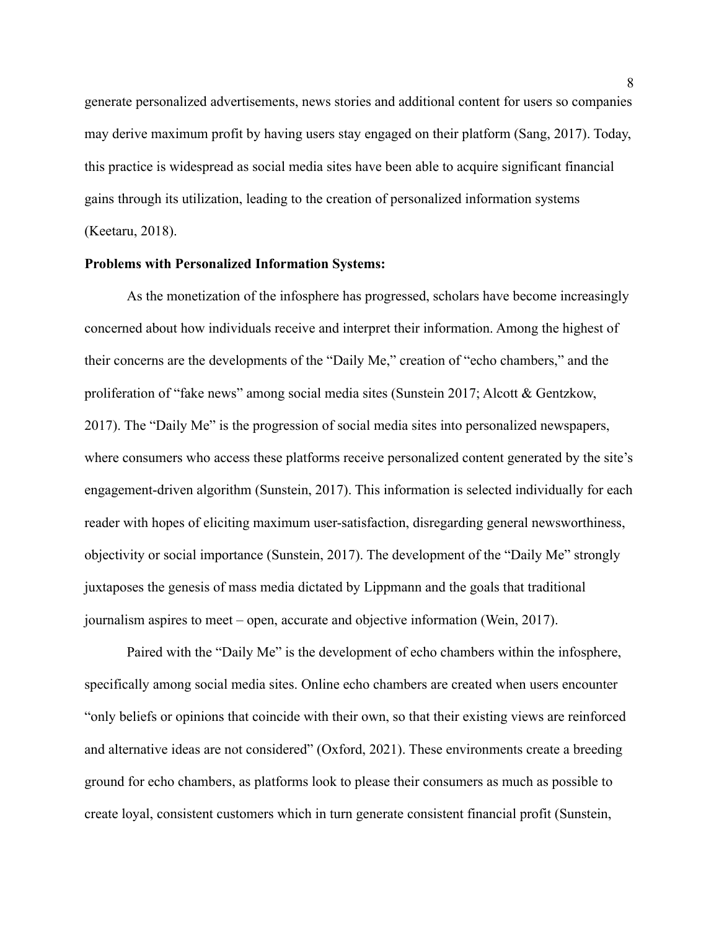generate personalized advertisements, news stories and additional content for users so companies may derive maximum profit by having users stay engaged on their platform (Sang, 2017). Today, this practice is widespread as social media sites have been able to acquire significant financial gains through its utilization, leading to the creation of personalized information systems (Keetaru, 2018).

#### **Problems with Personalized Information Systems:**

As the monetization of the infosphere has progressed, scholars have become increasingly concerned about how individuals receive and interpret their information. Among the highest of their concerns are the developments of the "Daily Me," creation of "echo chambers," and the proliferation of "fake news" among social media sites (Sunstein 2017; Alcott & Gentzkow, 2017). The "Daily Me" is the progression of social media sites into personalized newspapers, where consumers who access these platforms receive personalized content generated by the site's engagement-driven algorithm (Sunstein, 2017). This information is selected individually for each reader with hopes of eliciting maximum user-satisfaction, disregarding general newsworthiness, objectivity or social importance (Sunstein, 2017). The development of the "Daily Me" strongly juxtaposes the genesis of mass media dictated by Lippmann and the goals that traditional journalism aspires to meet – open, accurate and objective information (Wein, 2017).

Paired with the "Daily Me" is the development of echo chambers within the infosphere, specifically among social media sites. Online echo chambers are created when users encounter "only beliefs or opinions that coincide with their own, so that their existing views are reinforced and alternative ideas are not considered" (Oxford, 2021). These environments create a breeding ground for echo chambers, as platforms look to please their consumers as much as possible to create loyal, consistent customers which in turn generate consistent financial profit (Sunstein,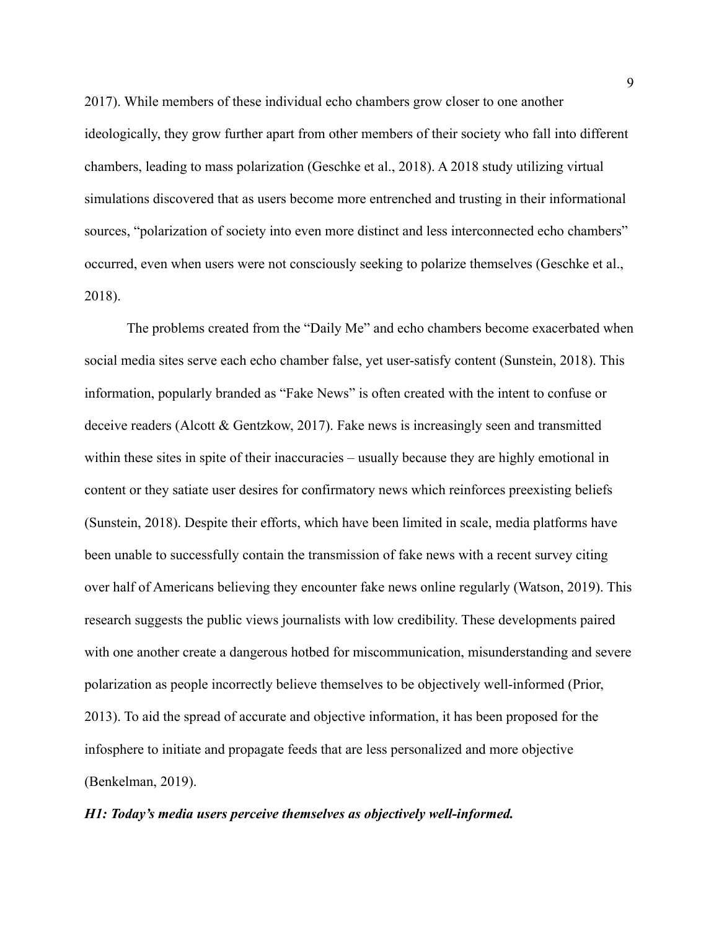2017). While members of these individual echo chambers grow closer to one another ideologically, they grow further apart from other members of their society who fall into different chambers, leading to mass polarization (Geschke et al., 2018). A 2018 study utilizing virtual simulations discovered that as users become more entrenched and trusting in their informational sources, "polarization of society into even more distinct and less interconnected echo chambers" occurred, even when users were not consciously seeking to polarize themselves (Geschke et al., 2018).

The problems created from the "Daily Me" and echo chambers become exacerbated when social media sites serve each echo chamber false, yet user-satisfy content (Sunstein, 2018). This information, popularly branded as "Fake News" is often created with the intent to confuse or deceive readers (Alcott & Gentzkow, 2017). Fake news is increasingly seen and transmitted within these sites in spite of their inaccuracies – usually because they are highly emotional in content or they satiate user desires for confirmatory news which reinforces preexisting beliefs (Sunstein, 2018). Despite their efforts, which have been limited in scale, media platforms have been unable to successfully contain the transmission of fake news with a recent survey citing over half of Americans believing they encounter fake news online regularly (Watson, 2019). This research suggests the public views journalists with low credibility. These developments paired with one another create a dangerous hotbed for miscommunication, misunderstanding and severe polarization as people incorrectly believe themselves to be objectively well-informed (Prior, 2013). To aid the spread of accurate and objective information, it has been proposed for the infosphere to initiate and propagate feeds that are less personalized and more objective (Benkelman, 2019).

#### *H1: Today's media users perceive themselves as objectively well-informed.*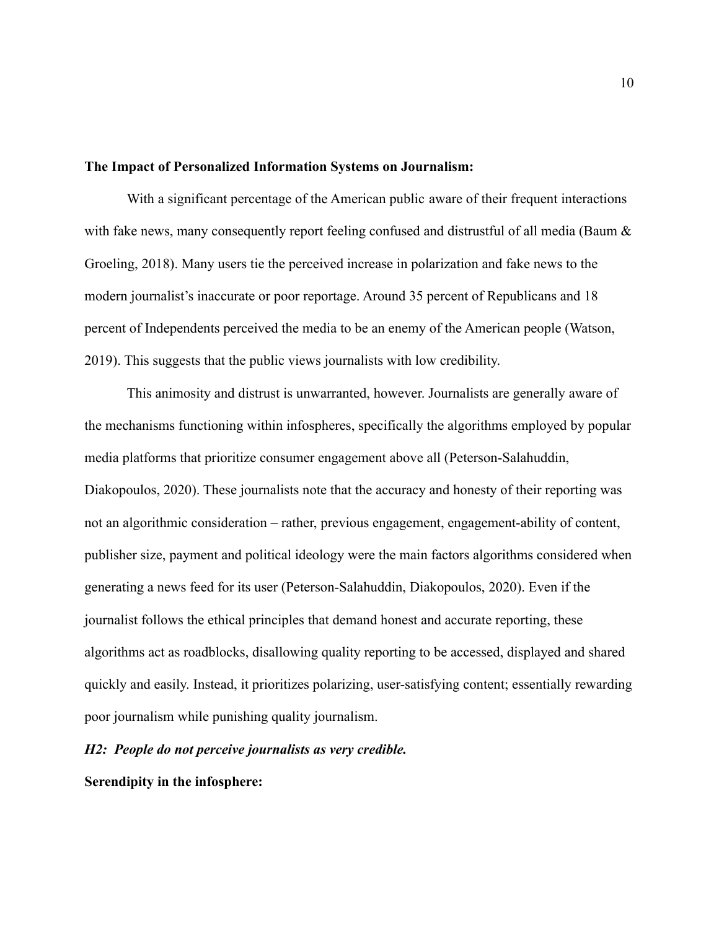#### **The Impact of Personalized Information Systems on Journalism:**

With a significant percentage of the American public aware of their frequent interactions with fake news, many consequently report feeling confused and distrustful of all media (Baum  $\&$ Groeling, 2018). Many users tie the perceived increase in polarization and fake news to the modern journalist's inaccurate or poor reportage. Around 35 percent of Republicans and 18 percent of Independents perceived the media to be an enemy of the American people (Watson, 2019). This suggests that the public views journalists with low credibility.

This animosity and distrust is unwarranted, however. Journalists are generally aware of the mechanisms functioning within infospheres, specifically the algorithms employed by popular media platforms that prioritize consumer engagement above all (Peterson-Salahuddin, Diakopoulos, 2020). These journalists note that the accuracy and honesty of their reporting was not an algorithmic consideration – rather, previous engagement, engagement-ability of content, publisher size, payment and political ideology were the main factors algorithms considered when generating a news feed for its user (Peterson-Salahuddin, Diakopoulos, 2020). Even if the journalist follows the ethical principles that demand honest and accurate reporting, these algorithms act as roadblocks, disallowing quality reporting to be accessed, displayed and shared quickly and easily. Instead, it prioritizes polarizing, user-satisfying content; essentially rewarding poor journalism while punishing quality journalism.

#### *H2: People do not perceive journalists as very credible.*

**Serendipity in the infosphere:**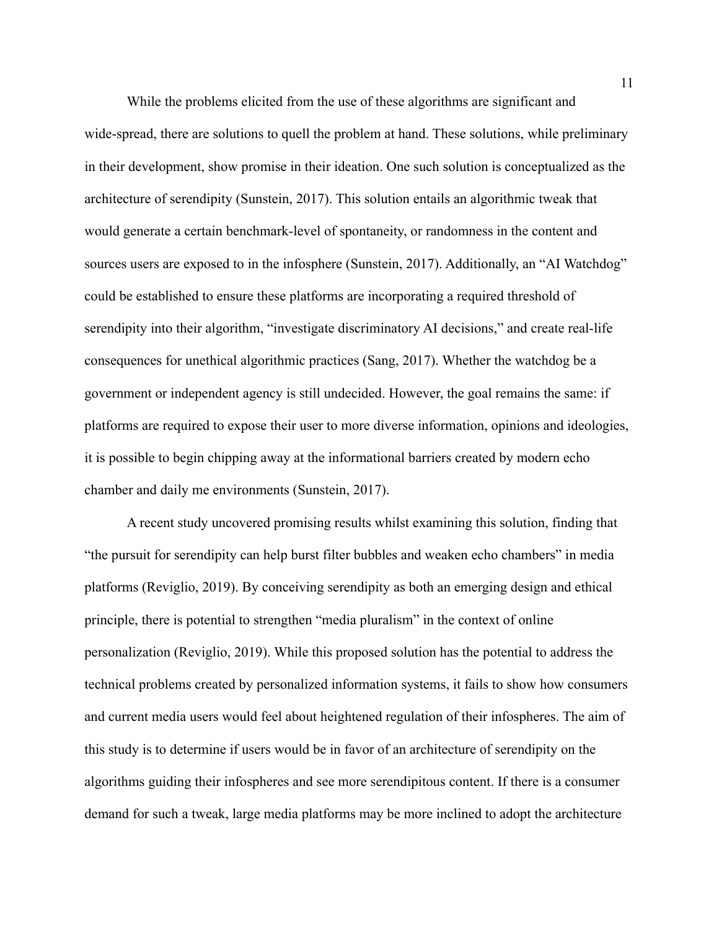While the problems elicited from the use of these algorithms are significant and wide-spread, there are solutions to quell the problem at hand. These solutions, while preliminary in their development, show promise in their ideation. One such solution is conceptualized as the architecture of serendipity (Sunstein, 2017). This solution entails an algorithmic tweak that would generate a certain benchmark-level of spontaneity, or randomness in the content and sources users are exposed to in the infosphere (Sunstein, 2017). Additionally, an "AI Watchdog" could be established to ensure these platforms are incorporating a required threshold of serendipity into their algorithm, "investigate discriminatory AI decisions," and create real-life consequences for unethical algorithmic practices (Sang, 2017). Whether the watchdog be a government or independent agency is still undecided. However, the goal remains the same: if platforms are required to expose their user to more diverse information, opinions and ideologies, it is possible to begin chipping away at the informational barriers created by modern echo chamber and daily me environments (Sunstein, 2017).

A recent study uncovered promising results whilst examining this solution, finding that "the pursuit for serendipity can help burst filter bubbles and weaken echo chambers" in media platforms (Reviglio, 2019). By conceiving serendipity as both an emerging design and ethical principle, there is potential to strengthen "media pluralism" in the context of online personalization (Reviglio, 2019). While this proposed solution has the potential to address the technical problems created by personalized information systems, it fails to show how consumers and current media users would feel about heightened regulation of their infospheres. The aim of this study is to determine if users would be in favor of an architecture of serendipity on the algorithms guiding their infospheres and see more serendipitous content. If there is a consumer demand for such a tweak, large media platforms may be more inclined to adopt the architecture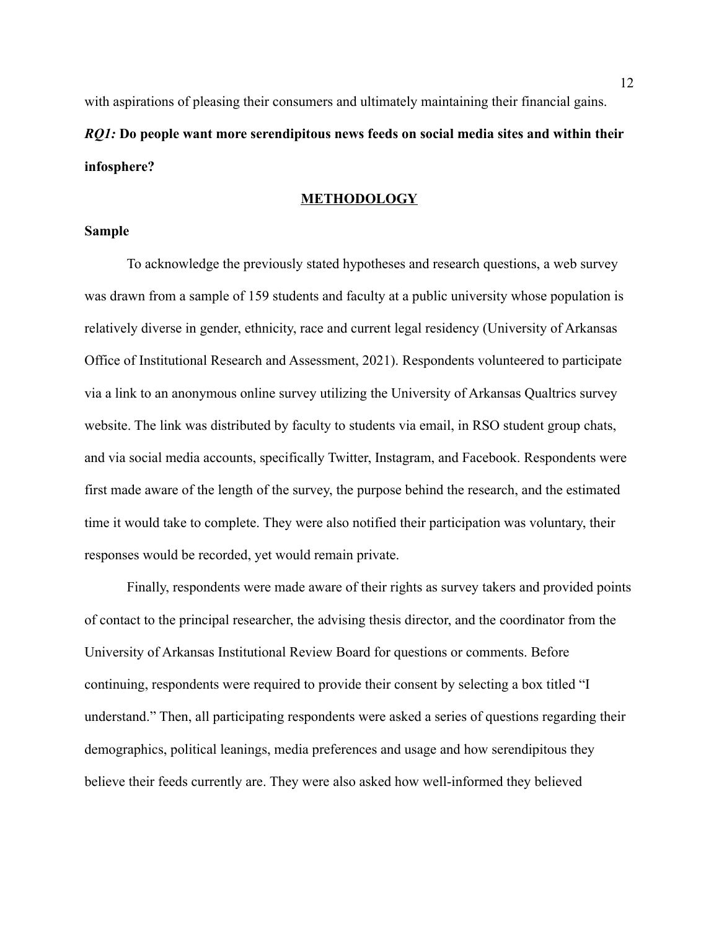with aspirations of pleasing their consumers and ultimately maintaining their financial gains. *RQ1:* **Do people want more serendipitous news feeds on social media sites and within their infosphere?**

#### **METHODOLOGY**

#### **Sample**

To acknowledge the previously stated hypotheses and research questions, a web survey was drawn from a sample of 159 students and faculty at a public university whose population is relatively diverse in gender, ethnicity, race and current legal residency (University of Arkansas Office of Institutional Research and Assessment, 2021). Respondents volunteered to participate via a link to an anonymous online survey utilizing the University of Arkansas Qualtrics survey website. The link was distributed by faculty to students via email, in RSO student group chats, and via social media accounts, specifically Twitter, Instagram, and Facebook. Respondents were first made aware of the length of the survey, the purpose behind the research, and the estimated time it would take to complete. They were also notified their participation was voluntary, their responses would be recorded, yet would remain private.

Finally, respondents were made aware of their rights as survey takers and provided points of contact to the principal researcher, the advising thesis director, and the coordinator from the University of Arkansas Institutional Review Board for questions or comments. Before continuing, respondents were required to provide their consent by selecting a box titled "I understand." Then, all participating respondents were asked a series of questions regarding their demographics, political leanings, media preferences and usage and how serendipitous they believe their feeds currently are. They were also asked how well-informed they believed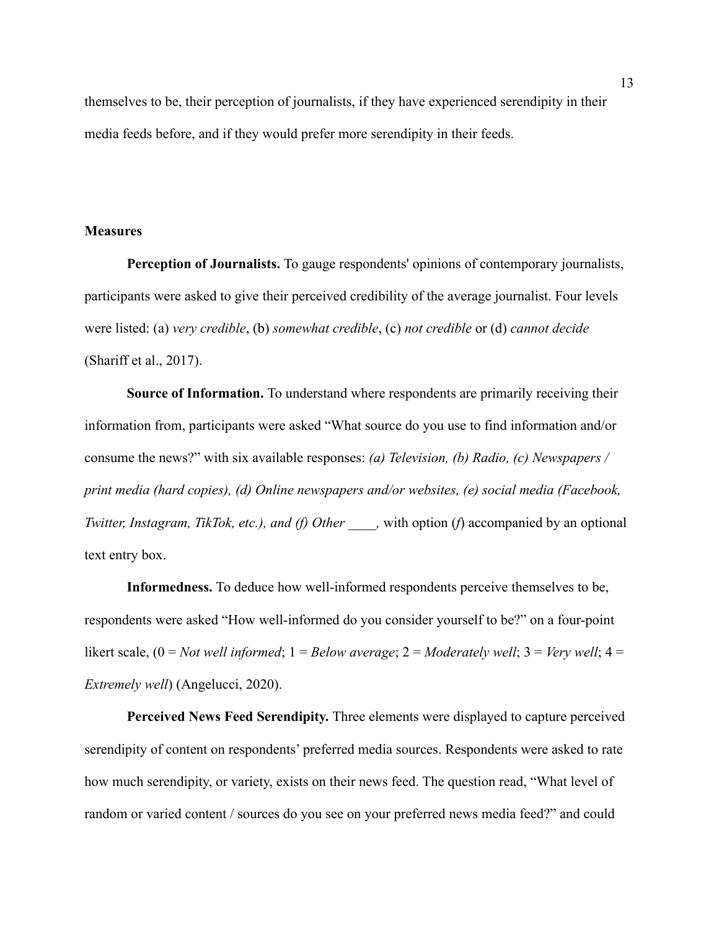themselves to be, their perception of journalists, if they have experienced serendipity in their media feeds before, and if they would prefer more serendipity in their feeds.

#### **Measures**

**Perception of Journalists.** To gauge respondents' opinions of contemporary journalists, participants were asked to give their perceived credibility of the average journalist. Four levels were listed: (a) *very credible*, (b) *somewhat credible*, (c) *not credible* or (d) *cannot decide* (Shariff et al., 2017).

**Source of Information.** To understand where respondents are primarily receiving their information from, participants were asked "What source do you use to find information and/or consume the news?" with six available responses: *(a) Television, (b) Radio, (c) Newspapers / print media (hard copies), (d) Online newspapers and/or websites, (e) social media (Facebook, Twitter, Instagram, TikTok, etc.), and (f) Other , with option (f) accompanied by an optional* text entry box.

**Informedness.** To deduce how well-informed respondents perceive themselves to be, respondents were asked "How well-informed do you consider yourself to be?" on a four-point likert scale,  $(0 = Not$  *well informed*;  $1 = Below$  *average*;  $2 = Modern$  $well$ ;  $3 = Very$  *well*;  $4 =$ *Extremely well*) (Angelucci, 2020).

**Perceived News Feed Serendipity.** Three elements were displayed to capture perceived serendipity of content on respondents' preferred media sources. Respondents were asked to rate how much serendipity, or variety, exists on their news feed. The question read, "What level of random or varied content / sources do you see on your preferred news media feed?" and could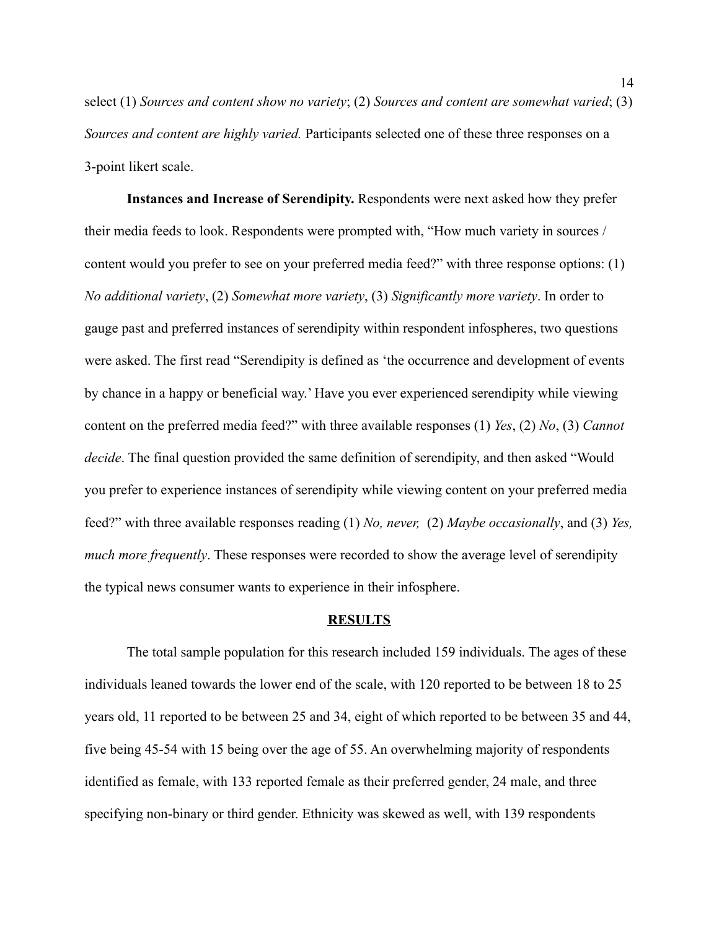select (1) *Sources and content show no variety*; (2) *Sources and content are somewhat varied*; (3) *Sources and content are highly varied.* Participants selected one of these three responses on a 3-point likert scale.

**Instances and Increase of Serendipity.** Respondents were next asked how they prefer their media feeds to look. Respondents were prompted with, "How much variety in sources / content would you prefer to see on your preferred media feed?" with three response options: (1) *No additional variety*, (2) *Somewhat more variety*, (3) *Significantly more variety*. In order to gauge past and preferred instances of serendipity within respondent infospheres, two questions were asked. The first read "Serendipity is defined as 'the occurrence and development of events by chance in a happy or beneficial way.' Have you ever experienced serendipity while viewing content on the preferred media feed?" with three available responses (1) *Yes*, (2) *No*, (3) *Cannot decide*. The final question provided the same definition of serendipity, and then asked "Would you prefer to experience instances of serendipity while viewing content on your preferred media feed?" with three available responses reading (1) *No, never,* (2) *Maybe occasionally*, and (3) *Yes, much more frequently*. These responses were recorded to show the average level of serendipity the typical news consumer wants to experience in their infosphere.

#### **RESULTS**

The total sample population for this research included 159 individuals. The ages of these individuals leaned towards the lower end of the scale, with 120 reported to be between 18 to 25 years old, 11 reported to be between 25 and 34, eight of which reported to be between 35 and 44, five being 45-54 with 15 being over the age of 55. An overwhelming majority of respondents identified as female, with 133 reported female as their preferred gender, 24 male, and three specifying non-binary or third gender. Ethnicity was skewed as well, with 139 respondents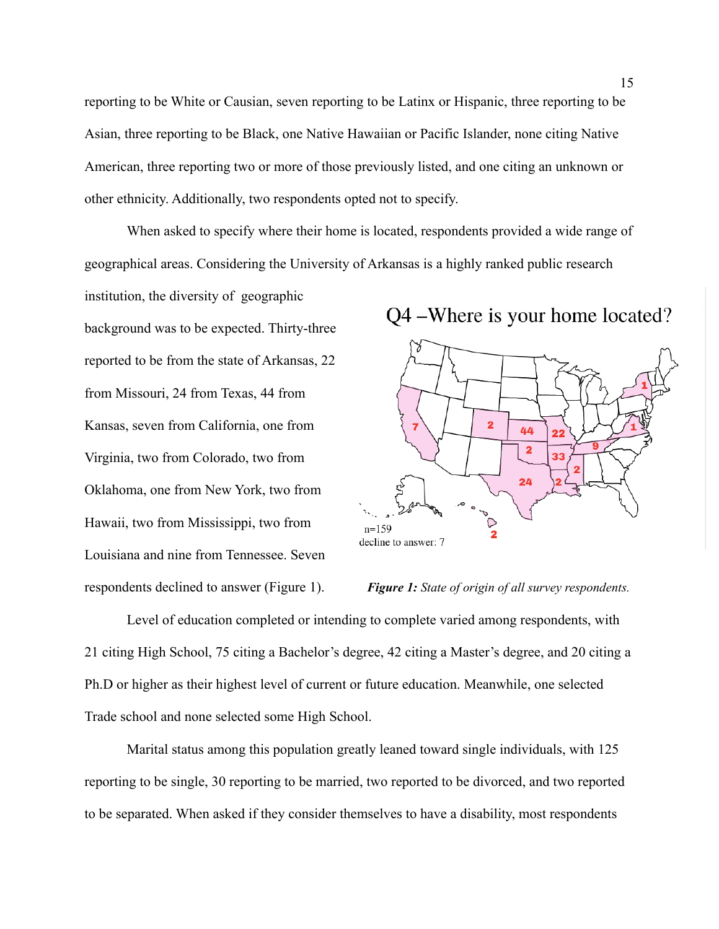reporting to be White or Causian, seven reporting to be Latinx or Hispanic, three reporting to be Asian, three reporting to be Black, one Native Hawaiian or Pacific Islander, none citing Native American, three reporting two or more of those previously listed, and one citing an unknown or other ethnicity. Additionally, two respondents opted not to specify.

When asked to specify where their home is located, respondents provided a wide range of geographical areas. Considering the University of Arkansas is a highly ranked public research

institution, the diversity of geographic background was to be expected. Thirty-three reported to be from the state of Arkansas, 22 from Missouri, 24 from Texas, 44 from Kansas, seven from California, one from Virginia, two from Colorado, two from Oklahoma, one from New York, two from Hawaii, two from Mississippi, two from Louisiana and nine from Tennessee. Seven respondents declined to answer (Figure 1). *Figure 1: State of origin of all survey respondents.*



Level of education completed or intending to complete varied among respondents, with 21 citing High School, 75 citing a Bachelor's degree, 42 citing a Master's degree, and 20 citing a Ph.D or higher as their highest level of current or future education. Meanwhile, one selected Trade school and none selected some High School.

Marital status among this population greatly leaned toward single individuals, with 125 reporting to be single, 30 reporting to be married, two reported to be divorced, and two reported to be separated. When asked if they consider themselves to have a disability, most respondents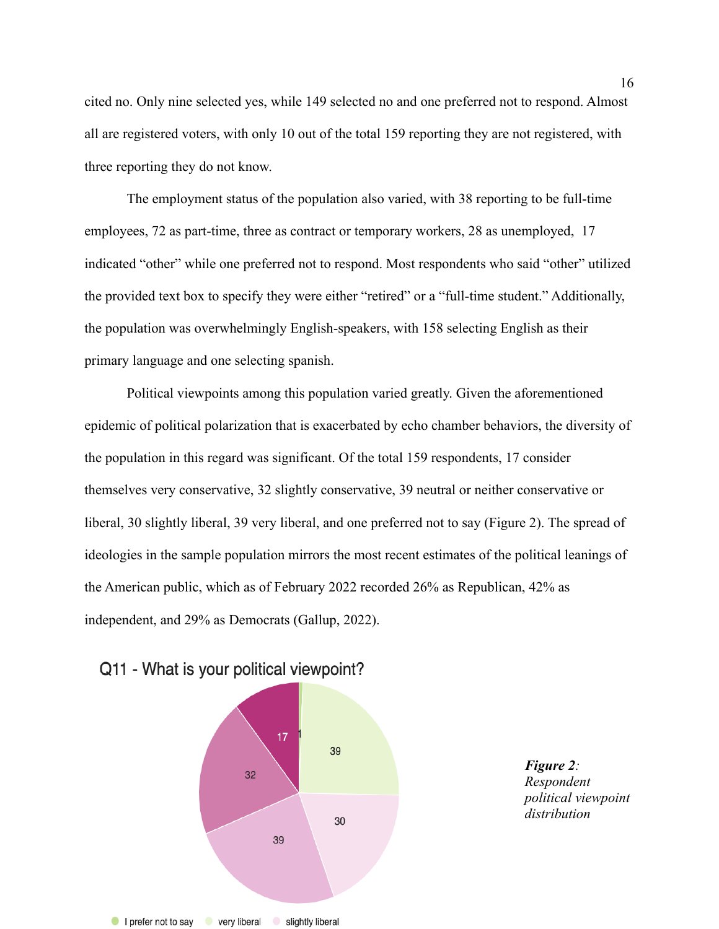cited no. Only nine selected yes, while 149 selected no and one preferred not to respond. Almost all are registered voters, with only 10 out of the total 159 reporting they are not registered, with three reporting they do not know.

The employment status of the population also varied, with 38 reporting to be full-time employees, 72 as part-time, three as contract or temporary workers, 28 as unemployed, 17 indicated "other" while one preferred not to respond. Most respondents who said "other" utilized the provided text box to specify they were either "retired" or a "full-time student." Additionally, the population was overwhelmingly English-speakers, with 158 selecting English as their primary language and one selecting spanish.

Political viewpoints among this population varied greatly. Given the aforementioned epidemic of political polarization that is exacerbated by echo chamber behaviors, the diversity of the population in this regard was significant. Of the total 159 respondents, 17 consider themselves very conservative, 32 slightly conservative, 39 neutral or neither conservative or liberal, 30 slightly liberal, 39 very liberal, and one preferred not to say (Figure 2). The spread of ideologies in the sample population mirrors the most recent estimates of the political leanings of the American public, which as of February 2022 recorded 26% as Republican, 42% as independent, and 29% as Democrats (Gallup, 2022).



slightly liberal

### Q11 - What is your political viewpoint?

very liberal

I prefer not to say

*Figure 2: Respondent political viewpoint distribution*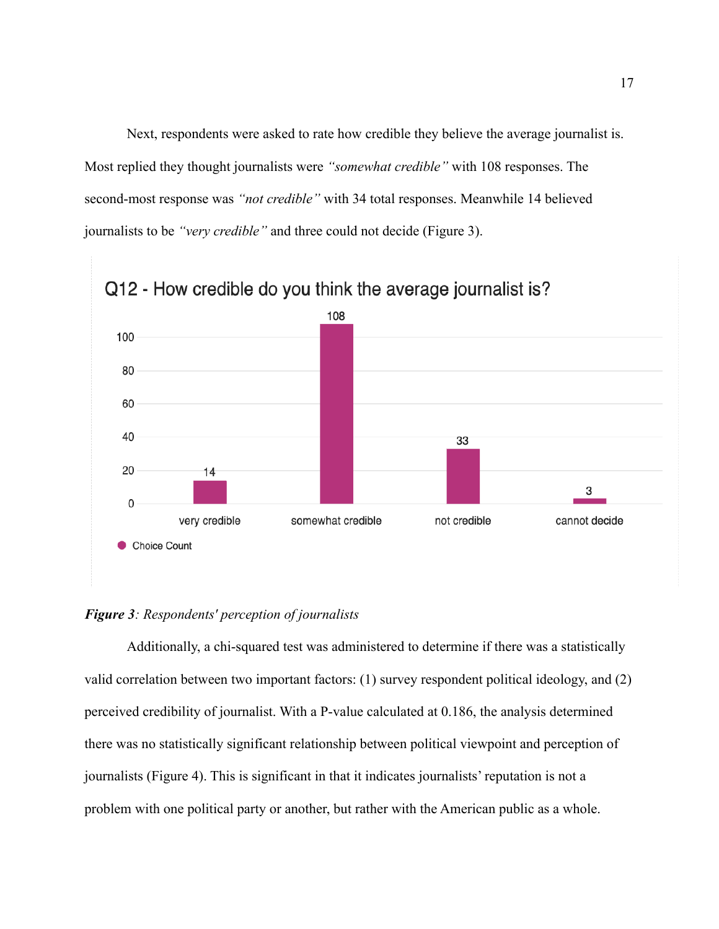Next, respondents were asked to rate how credible they believe the average journalist is. Most replied they thought journalists were *"somewhat credible"* with 108 responses. The second-most response was *"not credible"* with 34 total responses. Meanwhile 14 believed journalists to be *"very credible"* and three could not decide (Figure 3).



### *Figure 3: Respondents' perception of journalists*

Additionally, a chi-squared test was administered to determine if there was a statistically valid correlation between two important factors: (1) survey respondent political ideology, and (2) perceived credibility of journalist. With a P-value calculated at 0.186, the analysis determined there was no statistically significant relationship between political viewpoint and perception of journalists (Figure 4). This is significant in that it indicates journalists' reputation is not a problem with one political party or another, but rather with the American public as a whole.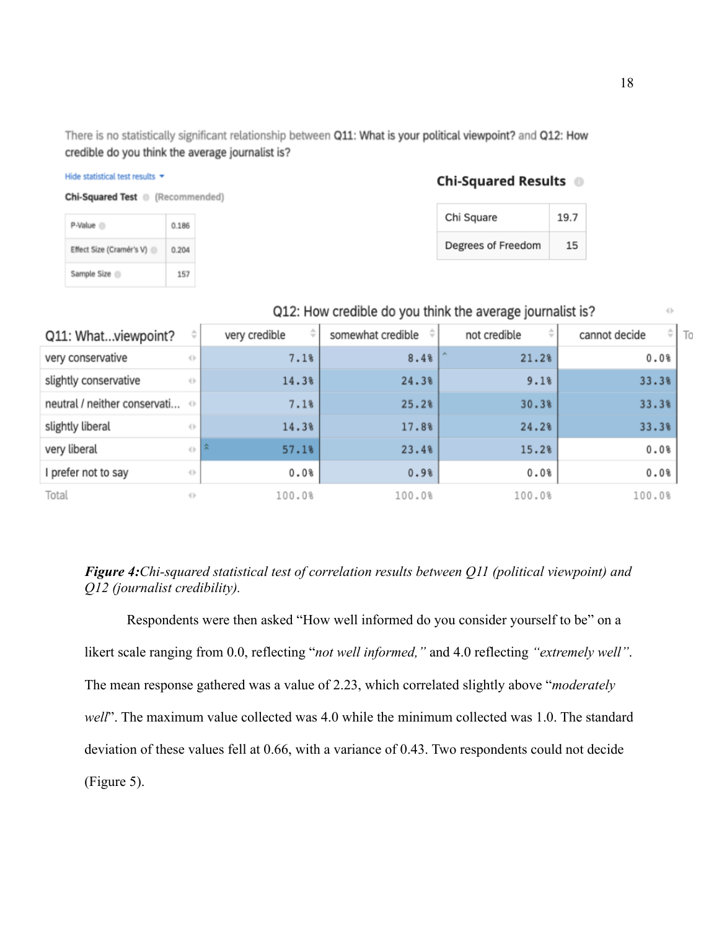There is no statistically significant relationship between Q11: What is your political viewpoint? and Q12: How credible do you think the average journalist is?

### Chi-Squared Results <sup>1</sup>

| Chi Square         | 19.7 |
|--------------------|------|
| Degrees of Freedom | 15   |

| <b>Chi-Squared Test</b> (Recommended) |       |  |
|---------------------------------------|-------|--|
| P-Value <sup>1</sup>                  | 0.186 |  |
| Effect Size (Cramér's V)              | 0.204 |  |
| Sample Size                           | 157   |  |

Hide statistical test results \*

# Q12: How credible do you think the average journalist is?

| Q11: Whatviewpoint?                        | ÷                                | very credible               | somewhat credible $\phi$ | ÷<br>not credible | $\hat{=}$ To<br>cannot decide |
|--------------------------------------------|----------------------------------|-----------------------------|--------------------------|-------------------|-------------------------------|
| very conservative                          | $\left\{ \left\  \cdot \right\ $ | 7.1%                        | 8.4%                     | 21.2%             | 0.0%                          |
| slightly conservative                      | $\left\{ \right\}$               | 14.3%                       | 24.3%                    | 9.1%              | 33.3%                         |
| neutral / neither conservati $\Rightarrow$ |                                  | 7.1%                        | 25.2%                    | 30.3%             | 33.3%                         |
| slightly liberal                           | (                                | 14.3%                       | 17.8%                    | 24.2%             | 33.3%                         |
| very liberal                               | $\langle  $                      | $\hat{\mathbf{x}}$<br>57.1% | 23.4%                    | 15.2%             | 0.0%                          |
| I prefer not to say                        | $\langle  $                      | 0.0%                        | 0.9%                     | 0.0%              | 0.0%                          |
| Total                                      | $\left\{ \right\}$               | 100.0%                      | 100.0%                   | 100.0%            | 100.0%                        |

### *Figure 4:Chi-squared statistical test of correlation results between Q11 (political viewpoint) and Q12 (journalist credibility).*

Respondents were then asked "How well informed do you consider yourself to be" on a likert scale ranging from 0.0, reflecting "*not well informed,"* and 4.0 reflecting *"extremely well"*. The mean response gathered was a value of 2.23, which correlated slightly above "*moderately well*". The maximum value collected was 4.0 while the minimum collected was 1.0. The standard deviation of these values fell at 0.66, with a variance of 0.43. Two respondents could not decide (Figure 5).

 $\langle \cdot \rangle$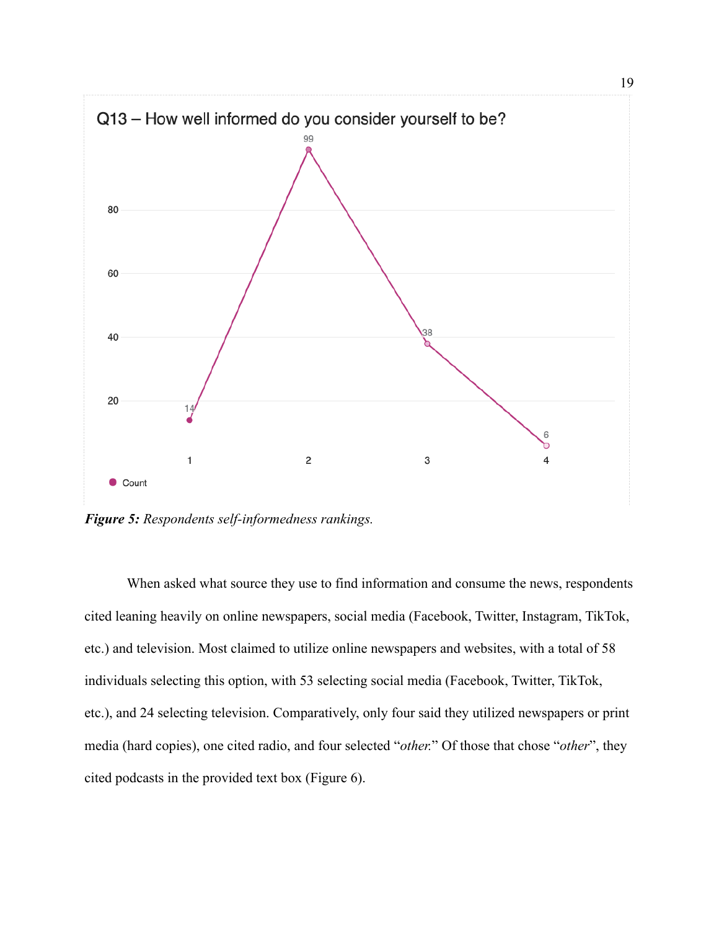

*Figure 5: Respondents self-informedness rankings.*

When asked what source they use to find information and consume the news, respondents cited leaning heavily on online newspapers, social media (Facebook, Twitter, Instagram, TikTok, etc.) and television. Most claimed to utilize online newspapers and websites, with a total of 58 individuals selecting this option, with 53 selecting social media (Facebook, Twitter, TikTok, etc.), and 24 selecting television. Comparatively, only four said they utilized newspapers or print media (hard copies), one cited radio, and four selected "*other.*" Of those that chose "*other*", they cited podcasts in the provided text box (Figure 6).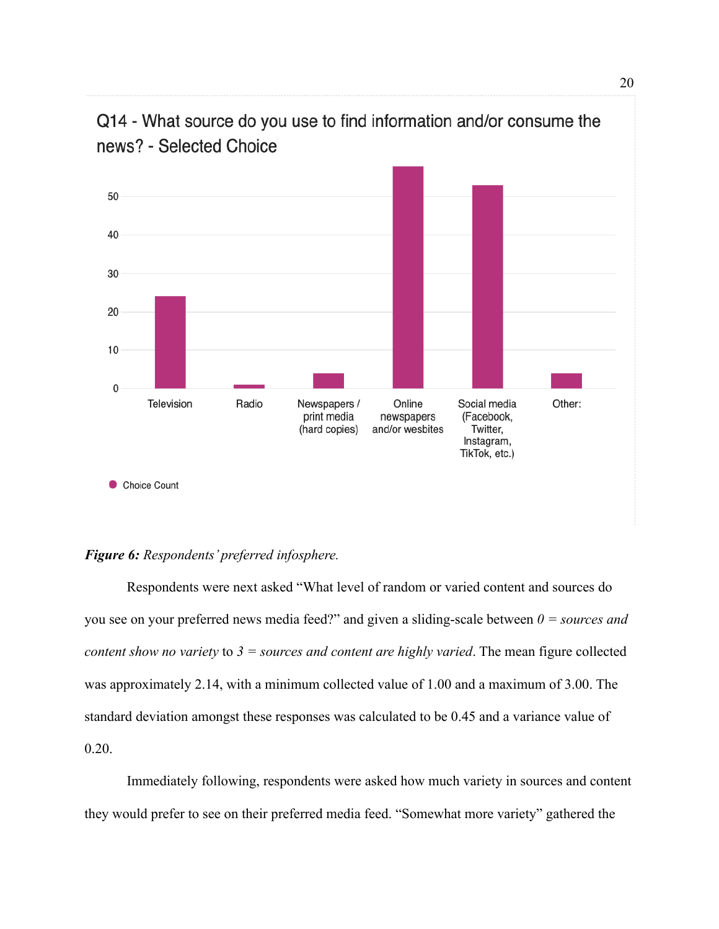

# Q14 - What source do you use to find information and/or consume the news? - Selected Choice

#### *Figure 6: Respondents' preferred infosphere.*

Respondents were next asked "What level of random or varied content and sources do you see on your preferred news media feed?" and given a sliding-scale between *0 = sources and content show no variety* to *3 = sources and content are highly varied*. The mean figure collected was approximately 2.14, with a minimum collected value of 1.00 and a maximum of 3.00. The standard deviation amongst these responses was calculated to be 0.45 and a variance value of 0.20.

Immediately following, respondents were asked how much variety in sources and content they would prefer to see on their preferred media feed. "Somewhat more variety" gathered the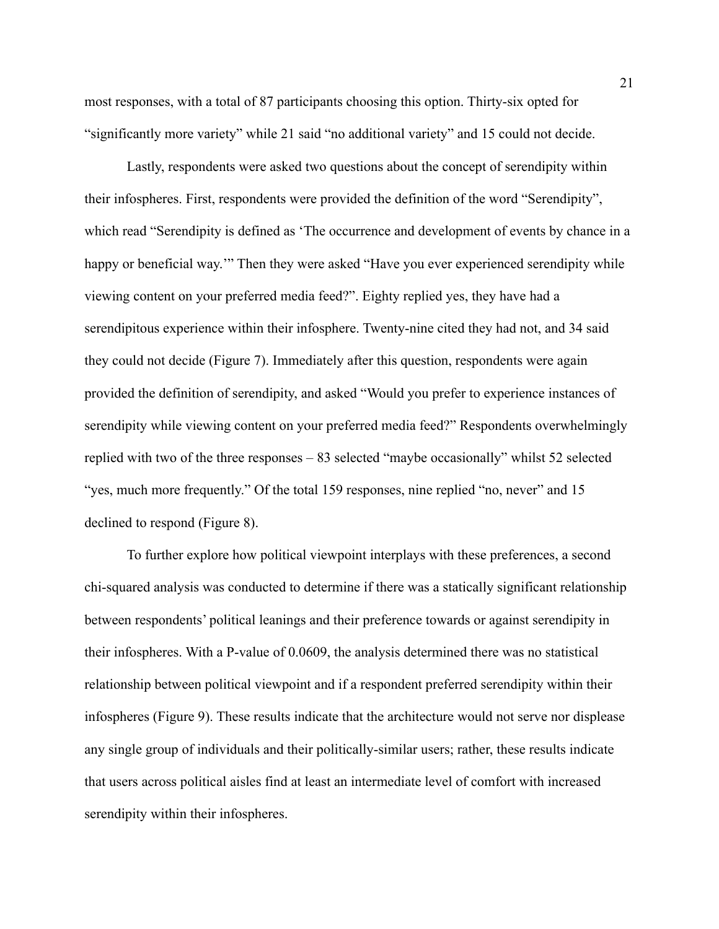most responses, with a total of 87 participants choosing this option. Thirty-six opted for "significantly more variety" while 21 said "no additional variety" and 15 could not decide.

Lastly, respondents were asked two questions about the concept of serendipity within their infospheres. First, respondents were provided the definition of the word "Serendipity", which read "Serendipity is defined as 'The occurrence and development of events by chance in a happy or beneficial way.'" Then they were asked "Have you ever experienced serendipity while viewing content on your preferred media feed?". Eighty replied yes, they have had a serendipitous experience within their infosphere. Twenty-nine cited they had not, and 34 said they could not decide (Figure 7). Immediately after this question, respondents were again provided the definition of serendipity, and asked "Would you prefer to experience instances of serendipity while viewing content on your preferred media feed?" Respondents overwhelmingly replied with two of the three responses – 83 selected "maybe occasionally" whilst 52 selected "yes, much more frequently." Of the total 159 responses, nine replied "no, never" and 15 declined to respond (Figure 8).

To further explore how political viewpoint interplays with these preferences, a second chi-squared analysis was conducted to determine if there was a statically significant relationship between respondents' political leanings and their preference towards or against serendipity in their infospheres. With a P-value of 0.0609, the analysis determined there was no statistical relationship between political viewpoint and if a respondent preferred serendipity within their infospheres (Figure 9). These results indicate that the architecture would not serve nor displease any single group of individuals and their politically-similar users; rather, these results indicate that users across political aisles find at least an intermediate level of comfort with increased serendipity within their infospheres.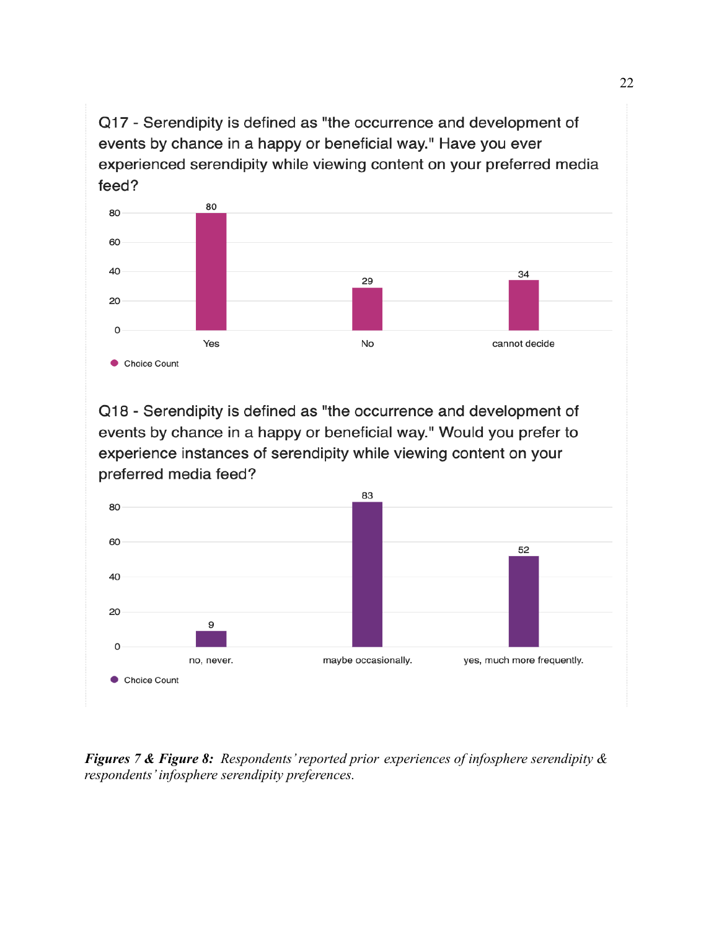Q17 - Serendipity is defined as "the occurrence and development of events by chance in a happy or beneficial way." Have you ever experienced serendipity while viewing content on your preferred media feed?



Q18 - Serendipity is defined as "the occurrence and development of events by chance in a happy or beneficial way." Would you prefer to experience instances of serendipity while viewing content on your preferred media feed?



*Figures 7 & Figure 8: Respondents' reported prior experiences of infosphere serendipity & respondents' infosphere serendipity preferences.*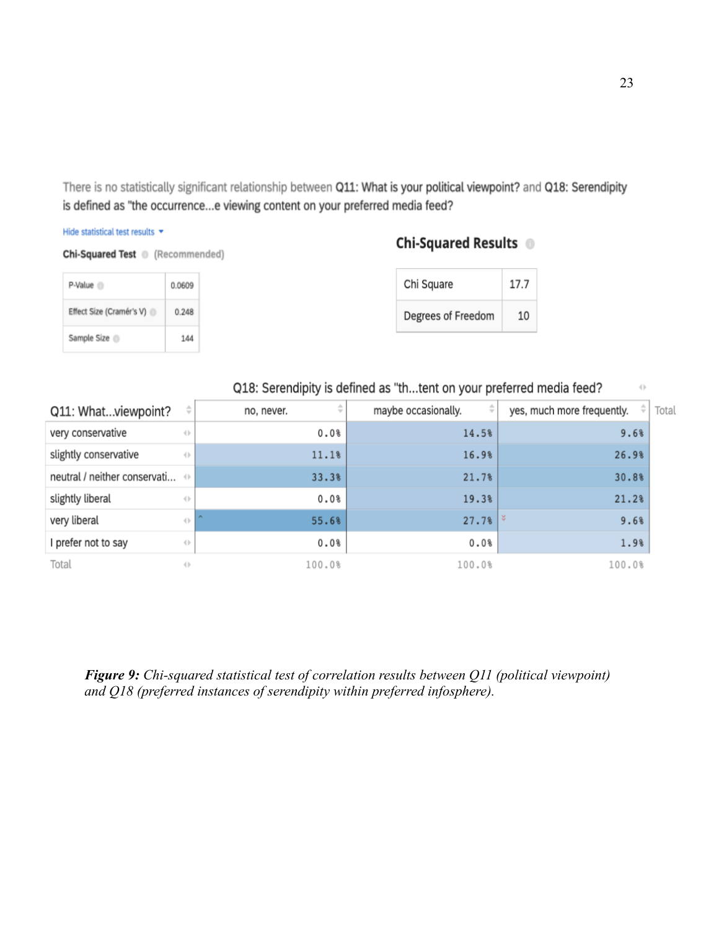There is no statistically significant relationship between Q11: What is your political viewpoint? and Q18: Serendipity is defined as "the occurrence...e viewing content on your preferred media feed?

#### Hide statistical test results \*

```
Chi-Squared Test (Recommended)
```
#### P-Value <sup>(1)</sup> 0.0609 Effect Size (Cramér's V) 0.248 Sample Size 144

| Chi Square         | 17.7 |
|--------------------|------|
| Degrees of Freedom | 10   |

Chi-Squared Results <sup>®</sup>

### Q18: Serendipity is defined as "th...tent on your preferred media feed?

| Q11: Whatviewpoint?                        | ÷                              | Δ<br>no, never.<br>$\overline{\phantom{a}}$ | ÷<br>maybe occasionally. | $\div$<br>yes, much more frequently. |
|--------------------------------------------|--------------------------------|---------------------------------------------|--------------------------|--------------------------------------|
| very conservative                          | $^{+}$                         | 0.0%                                        | 14.5%                    | 9.6%                                 |
| slightly conservative                      | $\left\langle {}\right\rangle$ | 11.1%                                       | 16.9%                    | 26.9%                                |
| neutral / neither conservati $\Rightarrow$ |                                | 33.3%                                       | 21.7%                    | 30.8%                                |
| slightly liberal                           | $\left\{ \cdot \right\}$       | 0.0%                                        | 19.3%                    | 21.2%                                |
| very liberal                               | $\langle$                      | $\sim$<br>55.6%                             | $27.7%$ $\frac{8}{8}$    | 9.6%                                 |
| I prefer not to say                        | $\langle \rangle$              | 0.0%                                        | 0.0%                     | 1.9%                                 |
| Total                                      | ()                             | 100.0%                                      | 100.0%                   | 100.0%                               |

*Figure 9: Chi-squared statistical test of correlation results between Q11 (political viewpoint) and Q18 (preferred instances of serendipity within preferred infosphere).*

otal

 $\langle \cdot \rangle$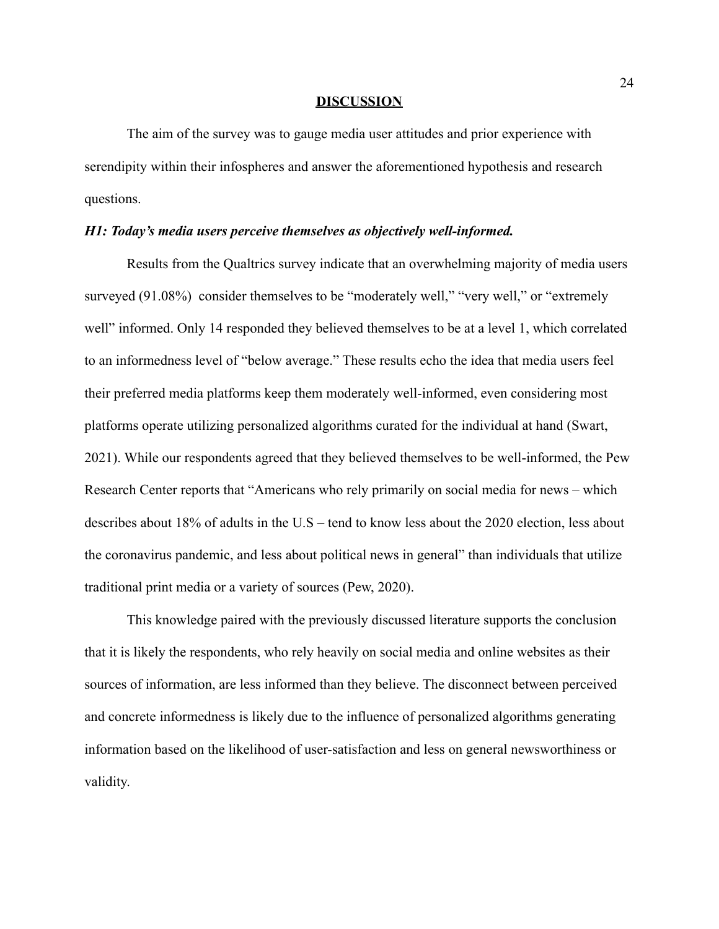#### **DISCUSSION**

The aim of the survey was to gauge media user attitudes and prior experience with serendipity within their infospheres and answer the aforementioned hypothesis and research questions.

#### *H1: Today's media users perceive themselves as objectively well-informed.*

Results from the Qualtrics survey indicate that an overwhelming majority of media users surveyed (91.08%) consider themselves to be "moderately well," "very well," or "extremely well" informed. Only 14 responded they believed themselves to be at a level 1, which correlated to an informedness level of "below average." These results echo the idea that media users feel their preferred media platforms keep them moderately well-informed, even considering most platforms operate utilizing personalized algorithms curated for the individual at hand (Swart, 2021). While our respondents agreed that they believed themselves to be well-informed, the Pew Research Center reports that "Americans who rely primarily on social media for news – which describes about 18% of adults in the U.S – tend to know less about the 2020 election, less about the coronavirus pandemic, and less about political news in general" than individuals that utilize traditional print media or a variety of sources (Pew, 2020).

This knowledge paired with the previously discussed literature supports the conclusion that it is likely the respondents, who rely heavily on social media and online websites as their sources of information, are less informed than they believe. The disconnect between perceived and concrete informedness is likely due to the influence of personalized algorithms generating information based on the likelihood of user-satisfaction and less on general newsworthiness or validity.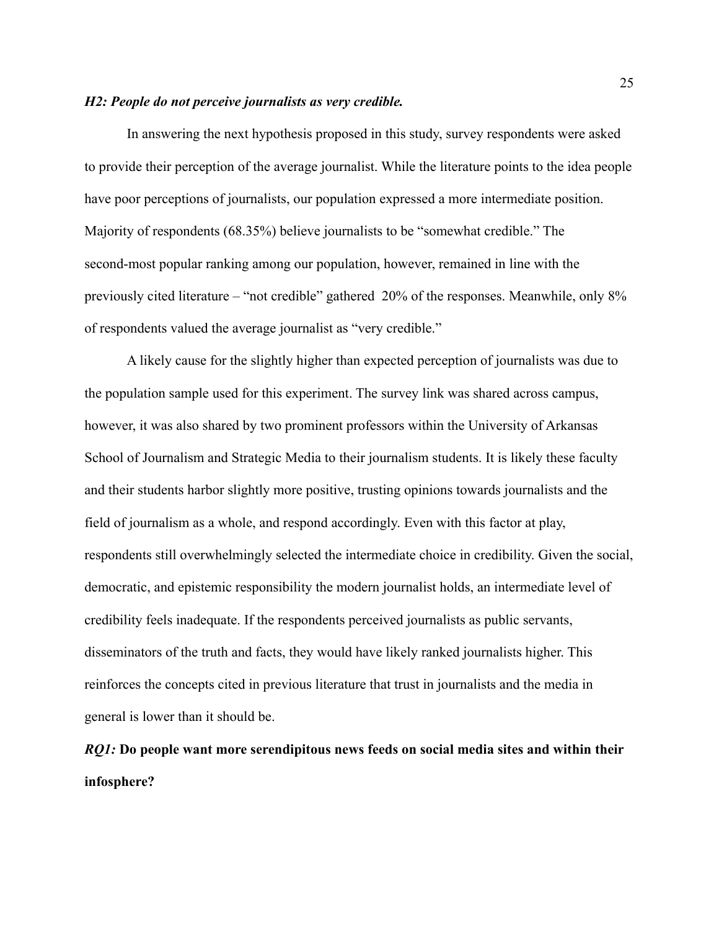#### *H2: People do not perceive journalists as very credible.*

In answering the next hypothesis proposed in this study, survey respondents were asked to provide their perception of the average journalist. While the literature points to the idea people have poor perceptions of journalists, our population expressed a more intermediate position. Majority of respondents (68.35%) believe journalists to be "somewhat credible." The second-most popular ranking among our population, however, remained in line with the previously cited literature – "not credible" gathered 20% of the responses. Meanwhile, only 8% of respondents valued the average journalist as "very credible."

A likely cause for the slightly higher than expected perception of journalists was due to the population sample used for this experiment. The survey link was shared across campus, however, it was also shared by two prominent professors within the University of Arkansas School of Journalism and Strategic Media to their journalism students. It is likely these faculty and their students harbor slightly more positive, trusting opinions towards journalists and the field of journalism as a whole, and respond accordingly. Even with this factor at play, respondents still overwhelmingly selected the intermediate choice in credibility. Given the social, democratic, and epistemic responsibility the modern journalist holds, an intermediate level of credibility feels inadequate. If the respondents perceived journalists as public servants, disseminators of the truth and facts, they would have likely ranked journalists higher. This reinforces the concepts cited in previous literature that trust in journalists and the media in general is lower than it should be.

# *RQ1:* **Do people want more serendipitous news feeds on social media sites and within their infosphere?**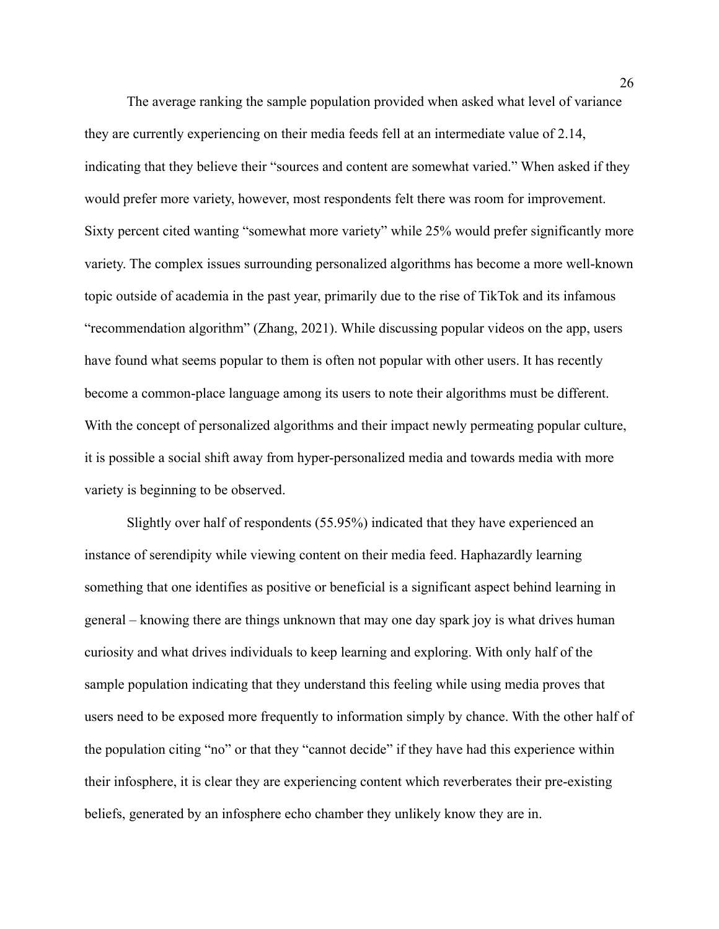The average ranking the sample population provided when asked what level of variance they are currently experiencing on their media feeds fell at an intermediate value of 2.14, indicating that they believe their "sources and content are somewhat varied." When asked if they would prefer more variety, however, most respondents felt there was room for improvement. Sixty percent cited wanting "somewhat more variety" while 25% would prefer significantly more variety. The complex issues surrounding personalized algorithms has become a more well-known topic outside of academia in the past year, primarily due to the rise of TikTok and its infamous "recommendation algorithm" (Zhang, 2021). While discussing popular videos on the app, users have found what seems popular to them is often not popular with other users. It has recently become a common-place language among its users to note their algorithms must be different. With the concept of personalized algorithms and their impact newly permeating popular culture, it is possible a social shift away from hyper-personalized media and towards media with more variety is beginning to be observed.

Slightly over half of respondents (55.95%) indicated that they have experienced an instance of serendipity while viewing content on their media feed. Haphazardly learning something that one identifies as positive or beneficial is a significant aspect behind learning in general – knowing there are things unknown that may one day spark joy is what drives human curiosity and what drives individuals to keep learning and exploring. With only half of the sample population indicating that they understand this feeling while using media proves that users need to be exposed more frequently to information simply by chance. With the other half of the population citing "no" or that they "cannot decide" if they have had this experience within their infosphere, it is clear they are experiencing content which reverberates their pre-existing beliefs, generated by an infosphere echo chamber they unlikely know they are in.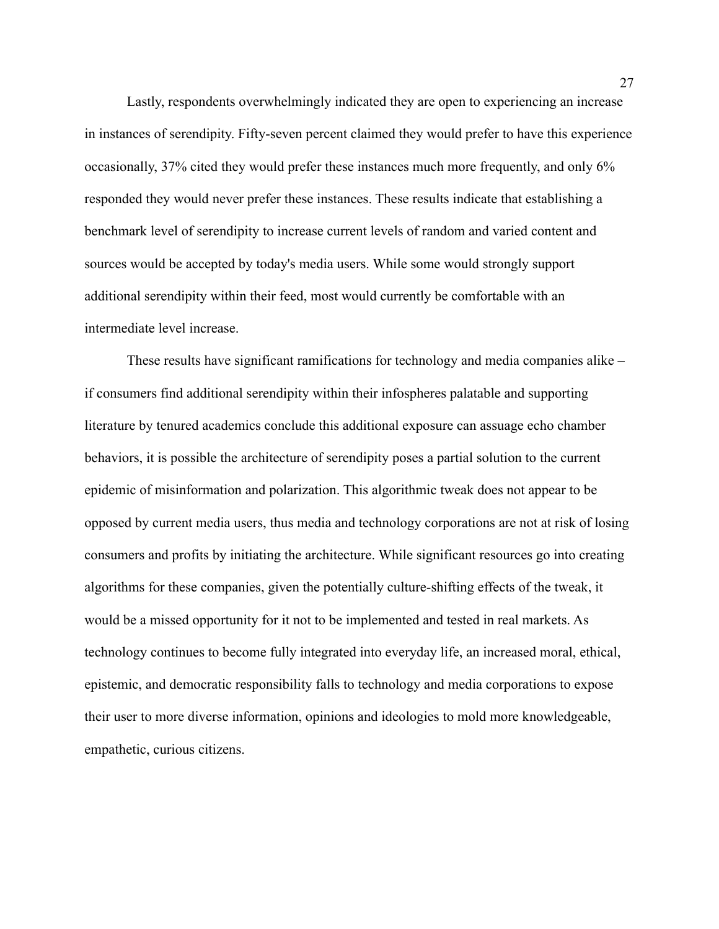Lastly, respondents overwhelmingly indicated they are open to experiencing an increase in instances of serendipity. Fifty-seven percent claimed they would prefer to have this experience occasionally, 37% cited they would prefer these instances much more frequently, and only 6% responded they would never prefer these instances. These results indicate that establishing a benchmark level of serendipity to increase current levels of random and varied content and sources would be accepted by today's media users. While some would strongly support additional serendipity within their feed, most would currently be comfortable with an intermediate level increase.

These results have significant ramifications for technology and media companies alike – if consumers find additional serendipity within their infospheres palatable and supporting literature by tenured academics conclude this additional exposure can assuage echo chamber behaviors, it is possible the architecture of serendipity poses a partial solution to the current epidemic of misinformation and polarization. This algorithmic tweak does not appear to be opposed by current media users, thus media and technology corporations are not at risk of losing consumers and profits by initiating the architecture. While significant resources go into creating algorithms for these companies, given the potentially culture-shifting effects of the tweak, it would be a missed opportunity for it not to be implemented and tested in real markets. As technology continues to become fully integrated into everyday life, an increased moral, ethical, epistemic, and democratic responsibility falls to technology and media corporations to expose their user to more diverse information, opinions and ideologies to mold more knowledgeable, empathetic, curious citizens.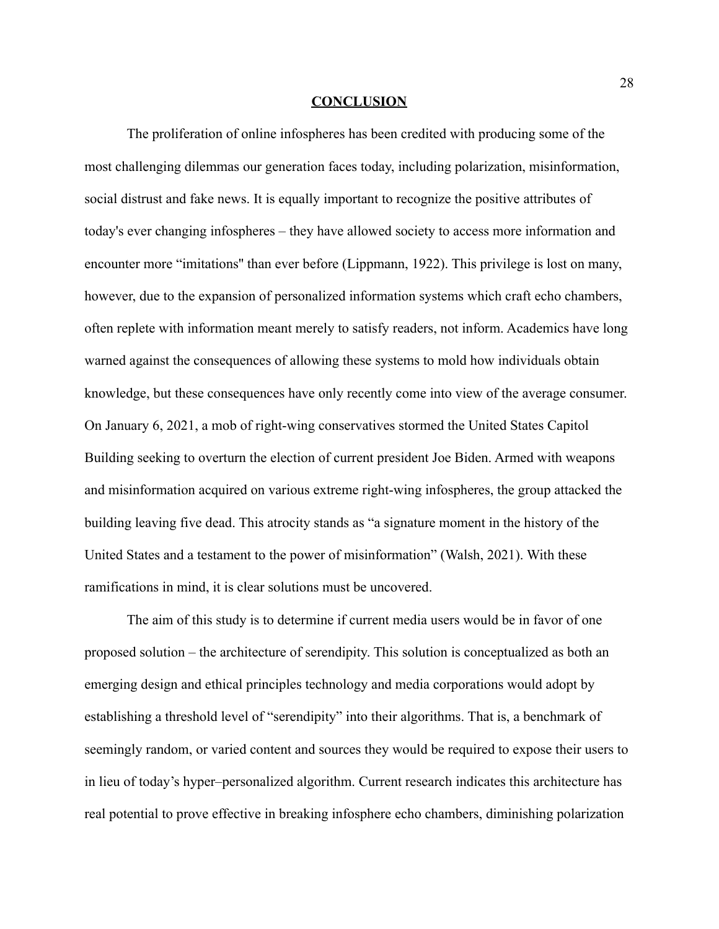#### **CONCLUSION**

The proliferation of online infospheres has been credited with producing some of the most challenging dilemmas our generation faces today, including polarization, misinformation, social distrust and fake news. It is equally important to recognize the positive attributes of today's ever changing infospheres – they have allowed society to access more information and encounter more "imitations'' than ever before (Lippmann, 1922). This privilege is lost on many, however, due to the expansion of personalized information systems which craft echo chambers, often replete with information meant merely to satisfy readers, not inform. Academics have long warned against the consequences of allowing these systems to mold how individuals obtain knowledge, but these consequences have only recently come into view of the average consumer. On January 6, 2021, a mob of right-wing conservatives stormed the United States Capitol Building seeking to overturn the election of current president Joe Biden. Armed with weapons and misinformation acquired on various extreme right-wing infospheres, the group attacked the building leaving five dead. This atrocity stands as "a signature moment in the history of the United States and a testament to the power of misinformation" (Walsh, 2021). With these ramifications in mind, it is clear solutions must be uncovered.

The aim of this study is to determine if current media users would be in favor of one proposed solution – the architecture of serendipity. This solution is conceptualized as both an emerging design and ethical principles technology and media corporations would adopt by establishing a threshold level of "serendipity" into their algorithms. That is, a benchmark of seemingly random, or varied content and sources they would be required to expose their users to in lieu of today's hyper–personalized algorithm. Current research indicates this architecture has real potential to prove effective in breaking infosphere echo chambers, diminishing polarization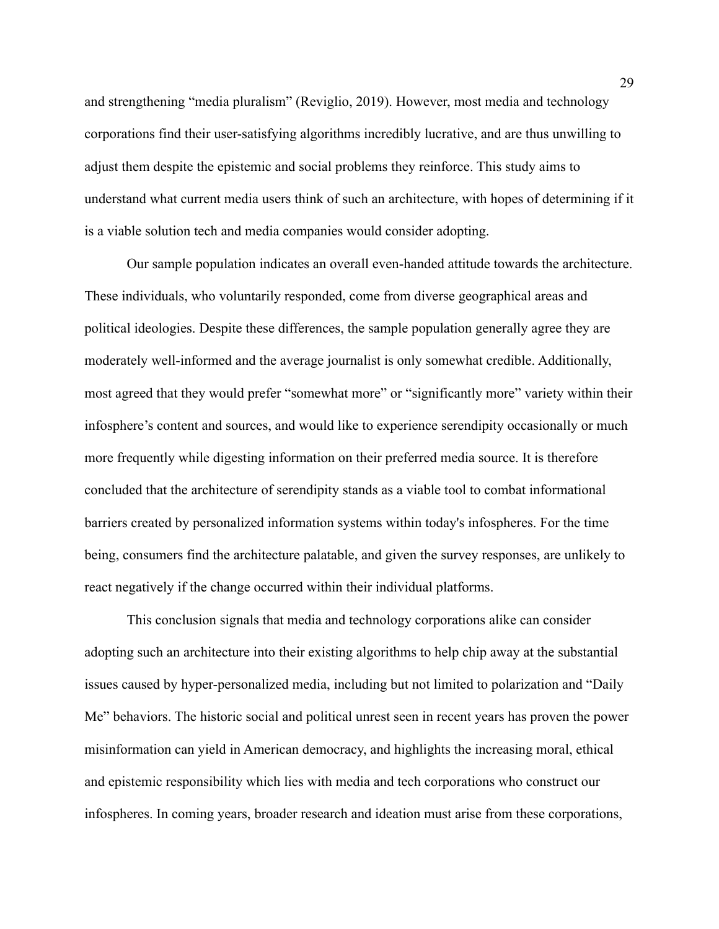and strengthening "media pluralism" (Reviglio, 2019). However, most media and technology corporations find their user-satisfying algorithms incredibly lucrative, and are thus unwilling to adjust them despite the epistemic and social problems they reinforce. This study aims to understand what current media users think of such an architecture, with hopes of determining if it is a viable solution tech and media companies would consider adopting.

Our sample population indicates an overall even-handed attitude towards the architecture. These individuals, who voluntarily responded, come from diverse geographical areas and political ideologies. Despite these differences, the sample population generally agree they are moderately well-informed and the average journalist is only somewhat credible. Additionally, most agreed that they would prefer "somewhat more" or "significantly more" variety within their infosphere's content and sources, and would like to experience serendipity occasionally or much more frequently while digesting information on their preferred media source. It is therefore concluded that the architecture of serendipity stands as a viable tool to combat informational barriers created by personalized information systems within today's infospheres. For the time being, consumers find the architecture palatable, and given the survey responses, are unlikely to react negatively if the change occurred within their individual platforms.

This conclusion signals that media and technology corporations alike can consider adopting such an architecture into their existing algorithms to help chip away at the substantial issues caused by hyper-personalized media, including but not limited to polarization and "Daily Me" behaviors. The historic social and political unrest seen in recent years has proven the power misinformation can yield in American democracy, and highlights the increasing moral, ethical and epistemic responsibility which lies with media and tech corporations who construct our infospheres. In coming years, broader research and ideation must arise from these corporations,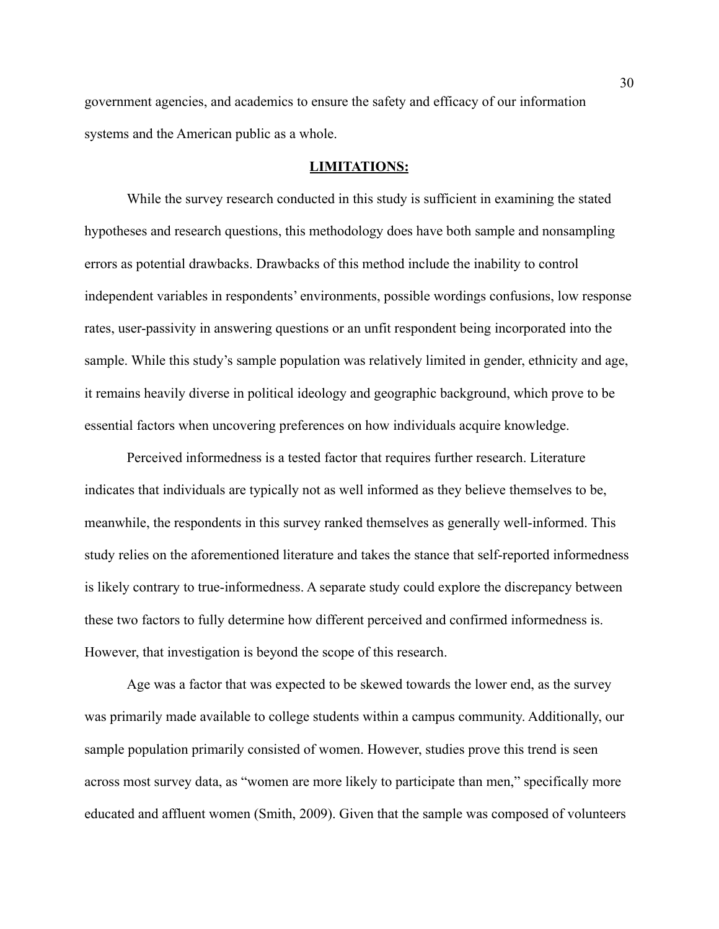government agencies, and academics to ensure the safety and efficacy of our information systems and the American public as a whole.

#### **LIMITATIONS:**

While the survey research conducted in this study is sufficient in examining the stated hypotheses and research questions, this methodology does have both sample and nonsampling errors as potential drawbacks. Drawbacks of this method include the inability to control independent variables in respondents' environments, possible wordings confusions, low response rates, user-passivity in answering questions or an unfit respondent being incorporated into the sample. While this study's sample population was relatively limited in gender, ethnicity and age, it remains heavily diverse in political ideology and geographic background, which prove to be essential factors when uncovering preferences on how individuals acquire knowledge.

Perceived informedness is a tested factor that requires further research. Literature indicates that individuals are typically not as well informed as they believe themselves to be, meanwhile, the respondents in this survey ranked themselves as generally well-informed. This study relies on the aforementioned literature and takes the stance that self-reported informedness is likely contrary to true-informedness. A separate study could explore the discrepancy between these two factors to fully determine how different perceived and confirmed informedness is. However, that investigation is beyond the scope of this research.

Age was a factor that was expected to be skewed towards the lower end, as the survey was primarily made available to college students within a campus community. Additionally, our sample population primarily consisted of women. However, studies prove this trend is seen across most survey data, as "women are more likely to participate than men," specifically more educated and affluent women (Smith, 2009). Given that the sample was composed of volunteers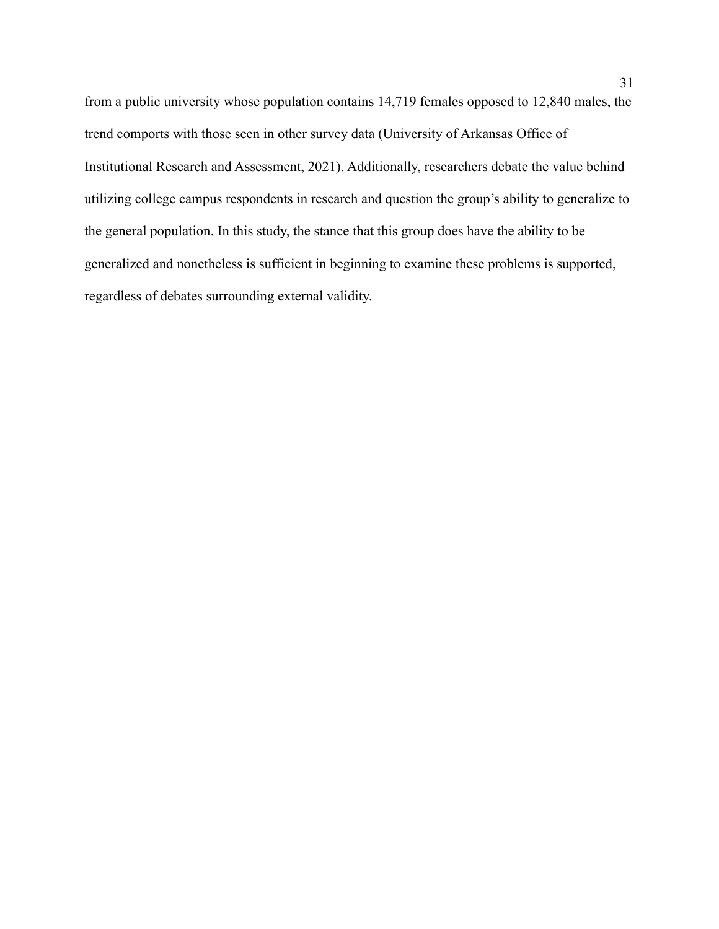from a public university whose population contains 14,719 females opposed to 12,840 males, the trend comports with those seen in other survey data (University of Arkansas Office of Institutional Research and Assessment, 2021). Additionally, researchers debate the value behind utilizing college campus respondents in research and question the group's ability to generalize to the general population. In this study, the stance that this group does have the ability to be generalized and nonetheless is sufficient in beginning to examine these problems is supported, regardless of debates surrounding external validity.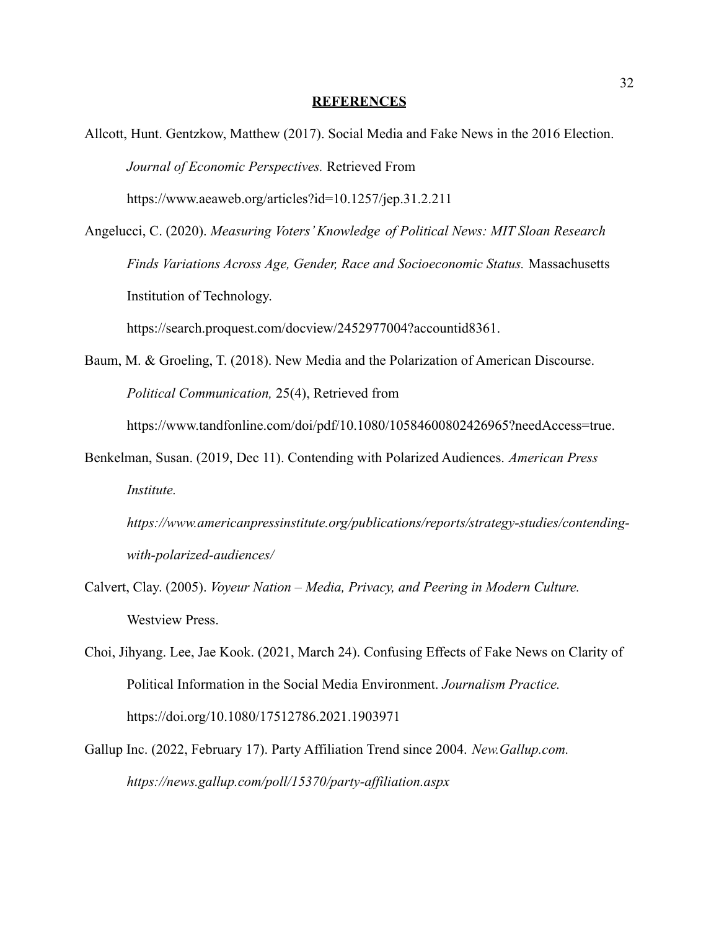#### **REFERENCES**

- Allcott, Hunt. Gentzkow, Matthew (2017). Social Media and Fake News in the 2016 Election. *Journal of Economic Perspectives.* Retrieved From https://www.aeaweb.org/articles?id=10.1257/jep.31.2.211
- Angelucci, C. (2020). *Measuring Voters' Knowledge of Political News: MIT Sloan Research Finds Variations Across Age, Gender, Race and Socioeconomic Status.* Massachusetts Institution of Technology.

https://search.proquest.com/docview/2452977004?accountid8361.

Baum, M. & Groeling, T. (2018). New Media and the Polarization of American Discourse. *Political Communication,* 25(4), Retrieved from

https://www.tandfonline.com/doi/pdf/10.1080/10584600802426965?needAccess=true.

- Benkelman, Susan. (2019, Dec 11). Contending with Polarized Audiences. *American Press Institute.*
	- *https://www.americanpressinstitute.org/publications/reports/strategy-studies/contendingwith-polarized-audiences/*
- Calvert, Clay. (2005). *Voyeur Nation Media, Privacy, and Peering in Modern Culture.* Westview Press.
- Choi, Jihyang. Lee, Jae Kook. (2021, March 24). Confusing Effects of Fake News on Clarity of Political Information in the Social Media Environment. *Journalism Practice.* https://doi.org/10.1080/17512786.2021.1903971
- Gallup Inc. (2022, February 17). Party Affiliation Trend since 2004. *New.Gallup.com. https://news.gallup.com/poll/15370/party-affiliation.aspx*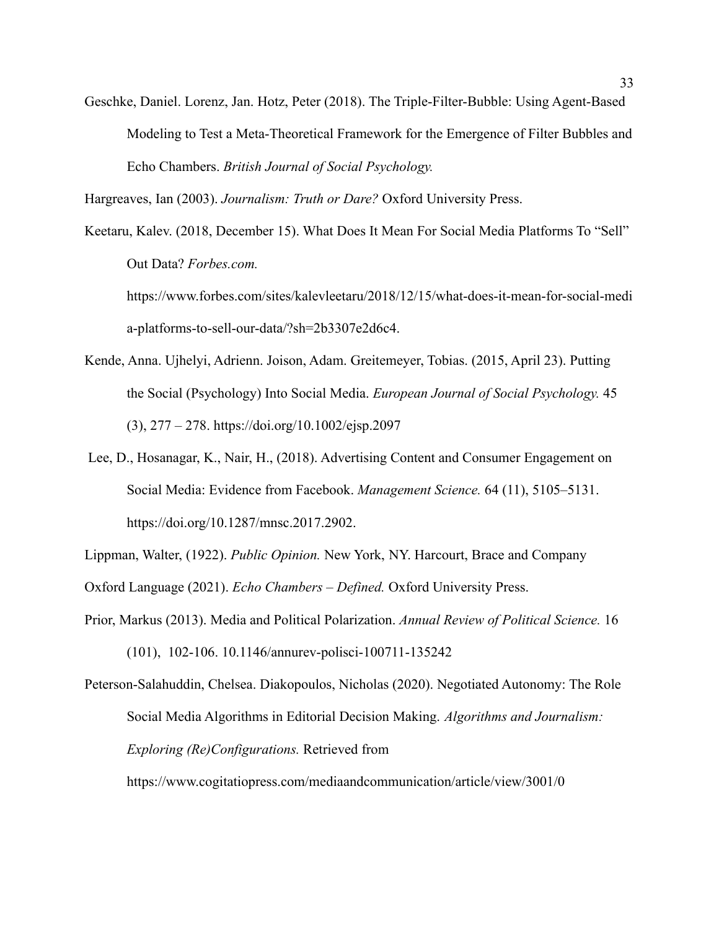Geschke, Daniel. Lorenz, Jan. Hotz, Peter (2018). The Triple-Filter-Bubble: Using Agent-Based Modeling to Test a Meta-Theoretical Framework for the Emergence of Filter Bubbles and Echo Chambers. *British Journal of Social Psychology.*

Hargreaves, Ian (2003). *Journalism: Truth or Dare?* Oxford University Press.

Keetaru, Kalev. (2018, December 15). What Does It Mean For Social Media Platforms To "Sell" Out Data? *Forbes.com.* https://www.forbes.com/sites/kalevleetaru/2018/12/15/what-does-it-mean-for-social-medi a-platforms-to-sell-our-data/?sh=2b3307e2d6c4.

- Kende, Anna. Ujhelyi, Adrienn. Joison, Adam. Greitemeyer, Tobias. (2015, April 23). Putting the Social (Psychology) Into Social Media. *European Journal of Social Psychology.* 45 (3), 277 – 278. https://doi.org/10.1002/ejsp.2097
- Lee, D., Hosanagar, K., Nair, H., (2018). Advertising Content and Consumer Engagement on Social Media: Evidence from Facebook. *Management Science.* 64 (11), 5105–5131. https://doi.org/10.1287/mnsc.2017.2902.

Lippman, Walter, (1922). *Public Opinion.* New York, NY. Harcourt, Brace and Company

Oxford Language (2021). *Echo Chambers – Defined.* Oxford University Press.

Prior, Markus (2013). Media and Political Polarization. *Annual Review of Political Science.* 16 (101), 102-106. 10.1146/annurev-polisci-100711-135242

Peterson-Salahuddin, Chelsea. Diakopoulos, Nicholas (2020). Negotiated Autonomy: The Role Social Media Algorithms in Editorial Decision Making. *Algorithms and Journalism: Exploring (Re)Configurations.* Retrieved from

https://www.cogitatiopress.com/mediaandcommunication/article/view/3001/0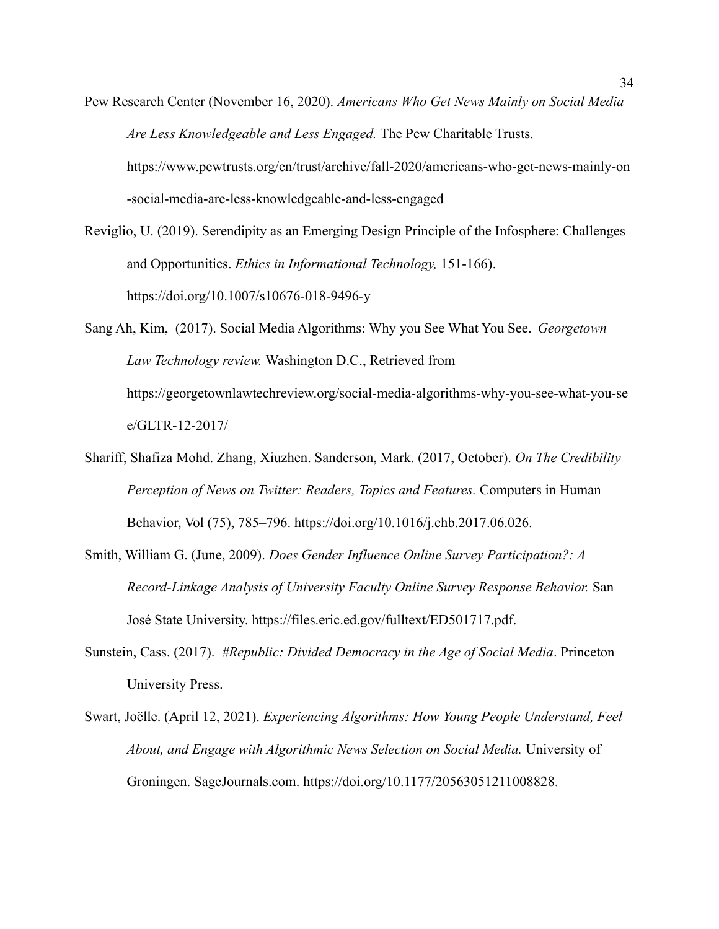- Pew Research Center (November 16, 2020). *Americans Who Get News Mainly on Social Media Are Less Knowledgeable and Less Engaged.* The Pew Charitable Trusts. https://www.pewtrusts.org/en/trust/archive/fall-2020/americans-who-get-news-mainly-on -social-media-are-less-knowledgeable-and-less-engaged
- Reviglio, U. (2019). Serendipity as an Emerging Design Principle of the Infosphere: Challenges and Opportunities. *Ethics in Informational Technology,* 151-166). https://doi.org/10.1007/s10676-018-9496-y
- Sang Ah, Kim, (2017). Social Media Algorithms: Why you See What You See. *Georgetown Law Technology review.* Washington D.C., Retrieved from https://georgetownlawtechreview.org/social-media-algorithms-why-you-see-what-you-se e/GLTR-12-2017/
- Shariff, Shafiza Mohd. Zhang, Xiuzhen. Sanderson, Mark. (2017, October). *On The Credibility Perception of News on Twitter: Readers, Topics and Features.* Computers in Human Behavior, Vol (75), 785–796. https://doi.org/10.1016/j.chb.2017.06.026.
- Smith, William G. (June, 2009). *Does Gender Influence Online Survey Participation?: A Record-Linkage Analysis of University Faculty Online Survey Response Behavior.* San José State University. https://files.eric.ed.gov/fulltext/ED501717.pdf.
- Sunstein, Cass. (2017). *#Republic: Divided Democracy in the Age of Social Media*. Princeton University Press.
- Swart, Joëlle. (April 12, 2021). *Experiencing Algorithms: How Young People Understand, Feel About, and Engage with Algorithmic News Selection on Social Media.* University of Groningen. SageJournals.com. [https://doi.org/10.1177/20563051211008828.](https://doi.org/10.1177%2F20563051211008828)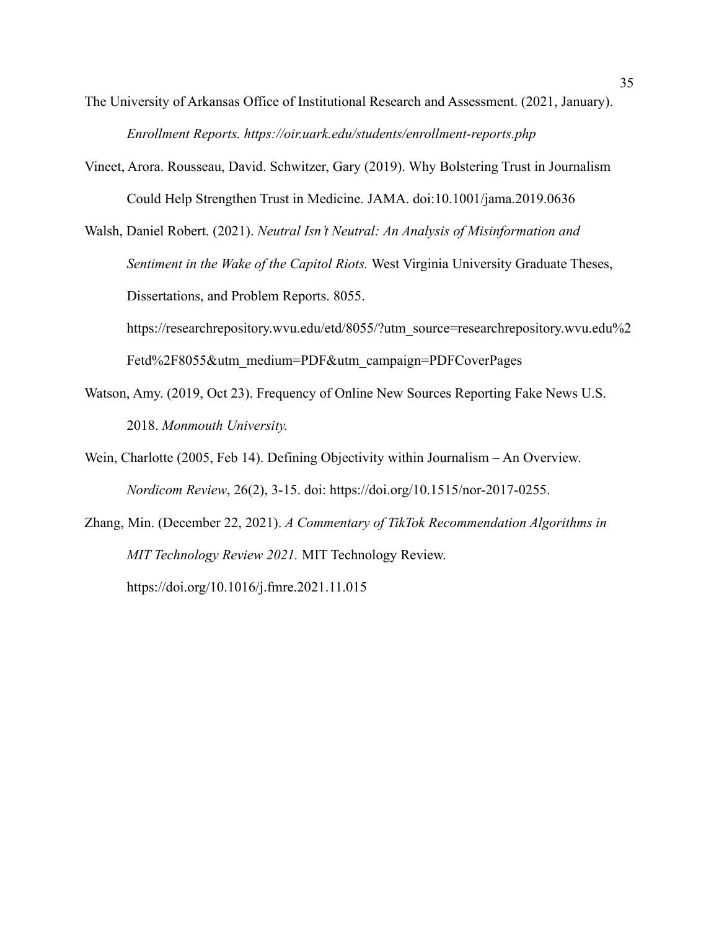- The University of Arkansas Office of Institutional Research and Assessment. (2021, January). *Enrollment Reports. https://oir.uark.edu/students/enrollment-reports.php*
- Vineet, Arora. Rousseau, David. Schwitzer, Gary (2019). Why Bolstering Trust in Journalism Could Help Strengthen Trust in Medicine. JAMA. doi:10.1001/jama.2019.0636

Walsh, Daniel Robert. (2021). *Neutral Isn't Neutral: An Analysis of Misinformation and Sentiment in the Wake of the Capitol Riots.* West Virginia University Graduate Theses, Dissertations, and Problem Reports. 8055.

https://researchrepository.wvu.edu/etd/8055/?utm\_source=researchrepository.wvu.edu%2 Fetd%2F8055&utm\_medium=PDF&utm\_campaign=PDFCoverPages

- Watson, Amy. (2019, Oct 23). Frequency of Online New Sources Reporting Fake News U.S. 2018. *Monmouth University.*
- Wein, Charlotte (2005, Feb 14). Defining Objectivity within Journalism An Overview. *Nordicom Review*, 26(2), 3-15. doi: https://doi.org/10.1515/nor-2017-0255.
- Zhang, Min. (December 22, 2021). *A Commentary of TikTok Recommendation Algorithms in MIT Technology Review 2021.* MIT Technology Review. https://doi.org/10.1016/j.fmre.2021.11.015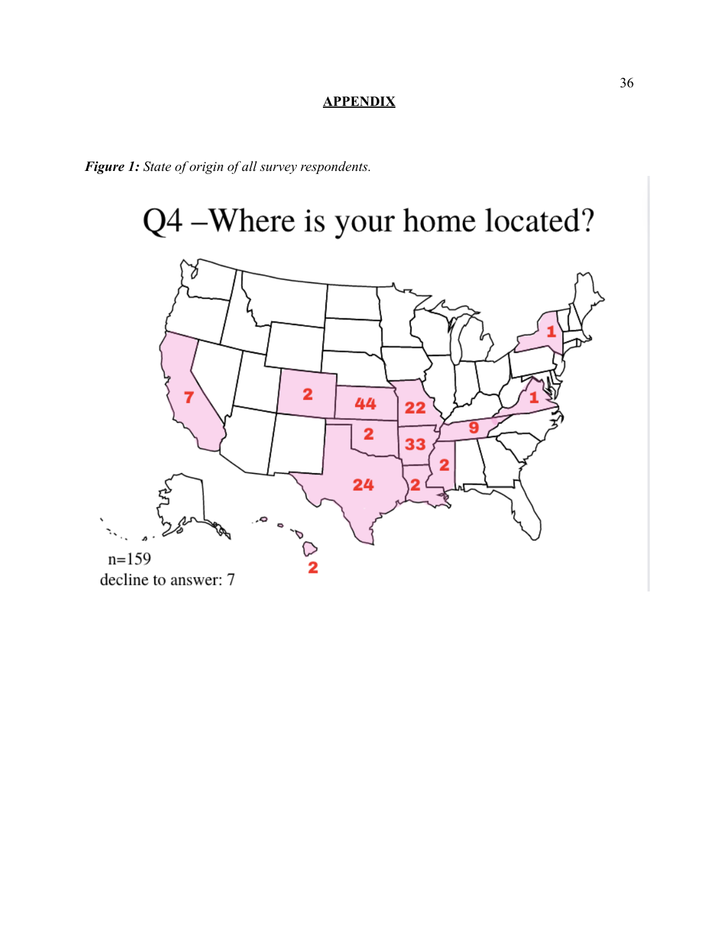### **APPENDIX**

*Figure 1: State of origin of all survey respondents.*

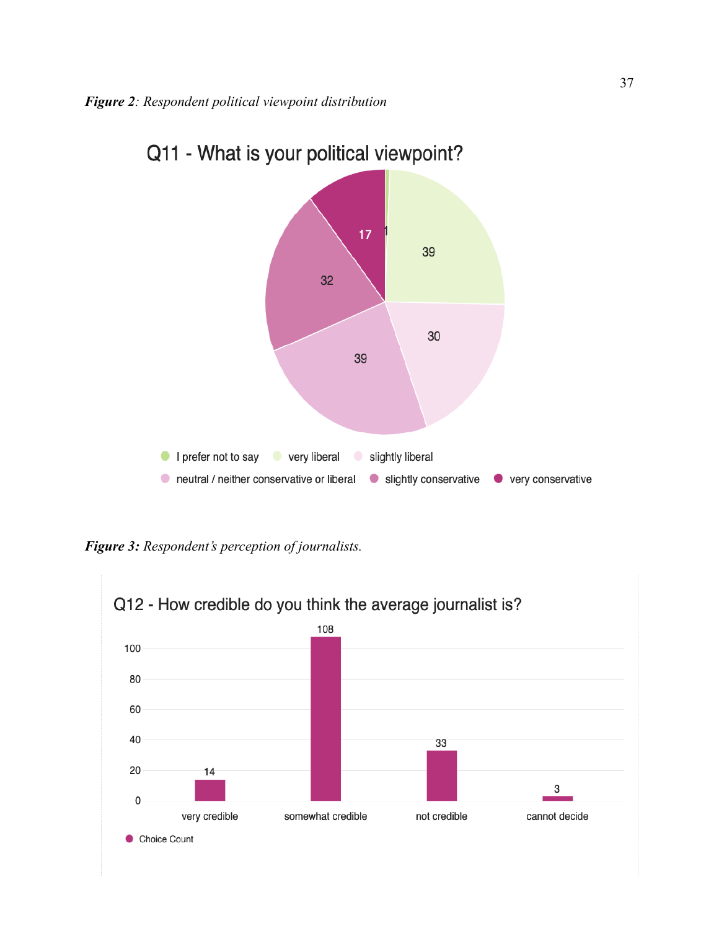

# Q11 - What is your political viewpoint?

*Figure 3: Respondent's perception of journalists.*

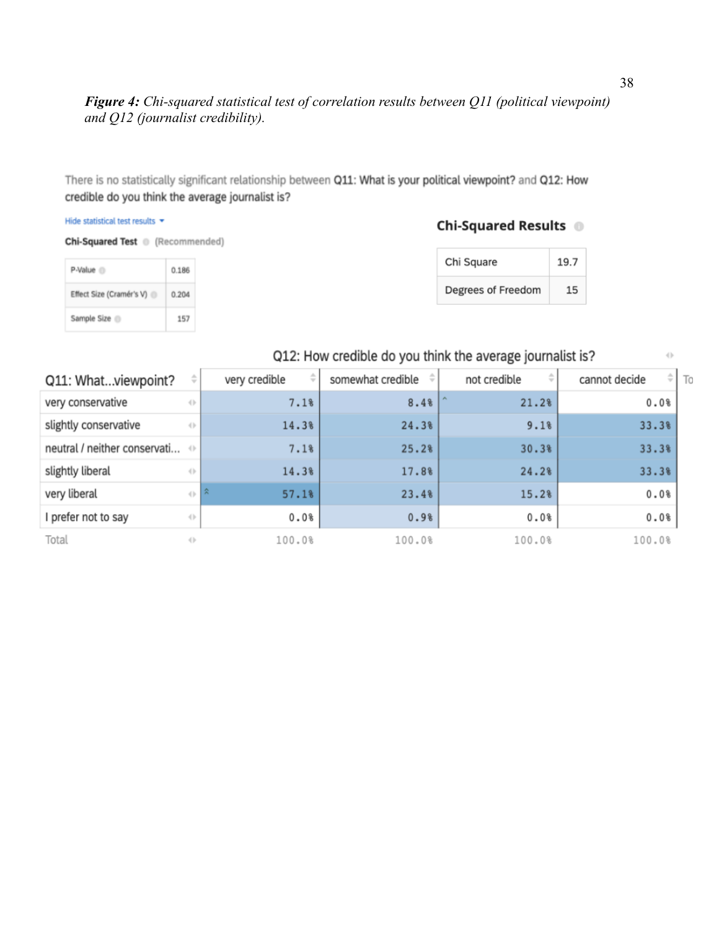### *Figure 4: Chi-squared statistical test of correlation results between Q11 (political viewpoint) and Q12 (journalist credibility).*

There is no statistically significant relationship between Q11: What is your political viewpoint? and Q12: How credible do you think the average journalist is?

#### Hide statistical test results  $\star$

Chi-Squared Test (Recommended)

| P-Value <sup>1</sup>     | 0.186 |
|--------------------------|-------|
| Effect Size (Cramér's V) | 0.204 |
| Sample Size              | 157   |

#### Chi-Squared Results <sup>®</sup>

| Chi Square         | 19.7 |
|--------------------|------|
| Degrees of Freedom | 15   |

### Q12: How credible do you think the average journalist is?

| Q11: Whatviewpoint?                        | ÷                                | very credible | somewhat credible $\phi$ | ÷<br>not credible | $\div$ $\Gamma$<br>cannot decide | To |
|--------------------------------------------|----------------------------------|---------------|--------------------------|-------------------|----------------------------------|----|
| very conservative                          | $\left\{ \left\  \cdot \right\ $ | 7.1%          | 8.4%                     | 21.2%             | 0.0%                             |    |
| slightly conservative                      | $\langle  $                      | 14.3%         | 24.3%                    | 9.1%              | 33.3%                            |    |
| neutral / neither conservati $\Rightarrow$ |                                  | 7.1%          | 25.2%                    | 30.3%             | 33.3%                            |    |
| slightly liberal                           | $\langle \rangle$                | 14.3%         | 17.8%                    | 24.2%             | 33.3%                            |    |
| very liberal                               | $\left\{ \cdot \right\}$         | 会<br>57.1%    | 23.4%                    | 15.2%             | 0.0%                             |    |
| I prefer not to say                        | $\left\{ \right\}$               | 0.0%          | 0.9%                     | 0.0%              | 0.0%                             |    |
| Total                                      | $\langle   \rangle$              | 100.0%        | 100.0%                   | 100.0%            | 100.0%                           |    |

 $\langle \cdot \rangle$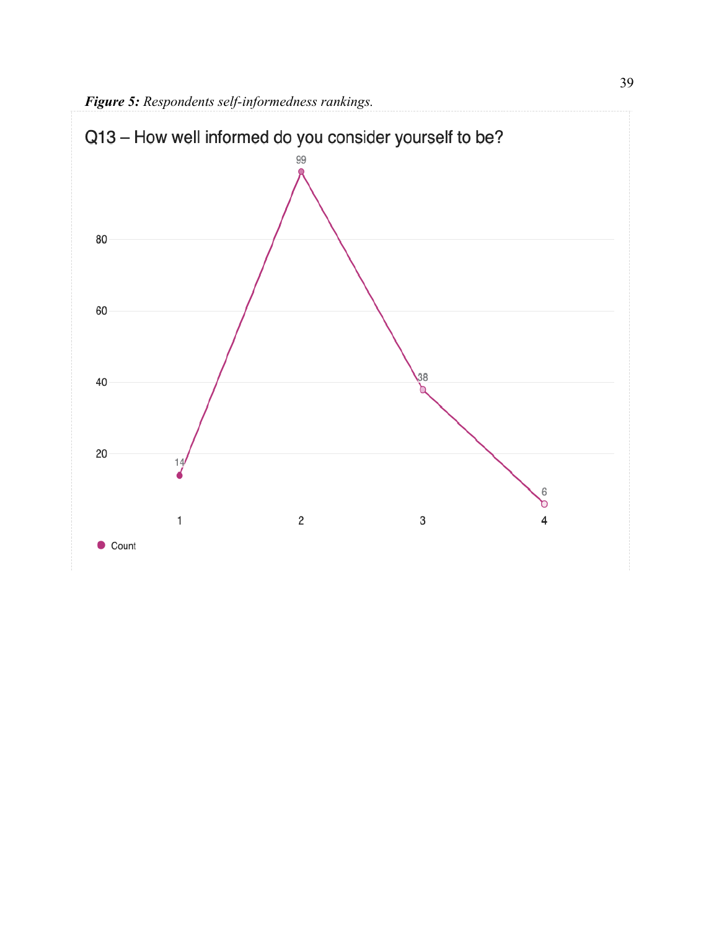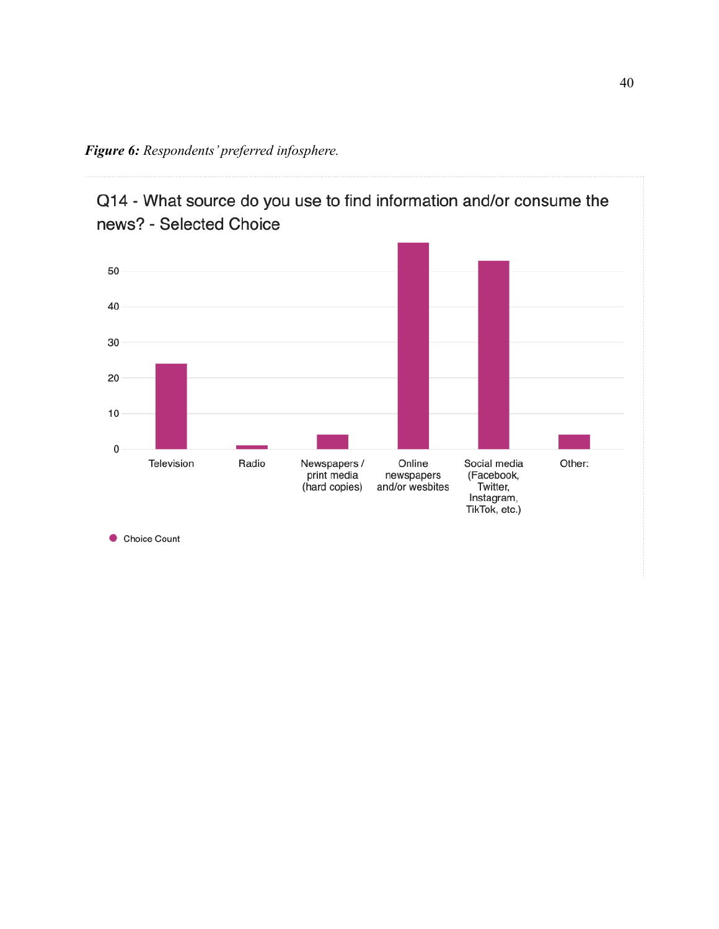*Figure 6: Respondents' preferred infosphere.*





Choice Count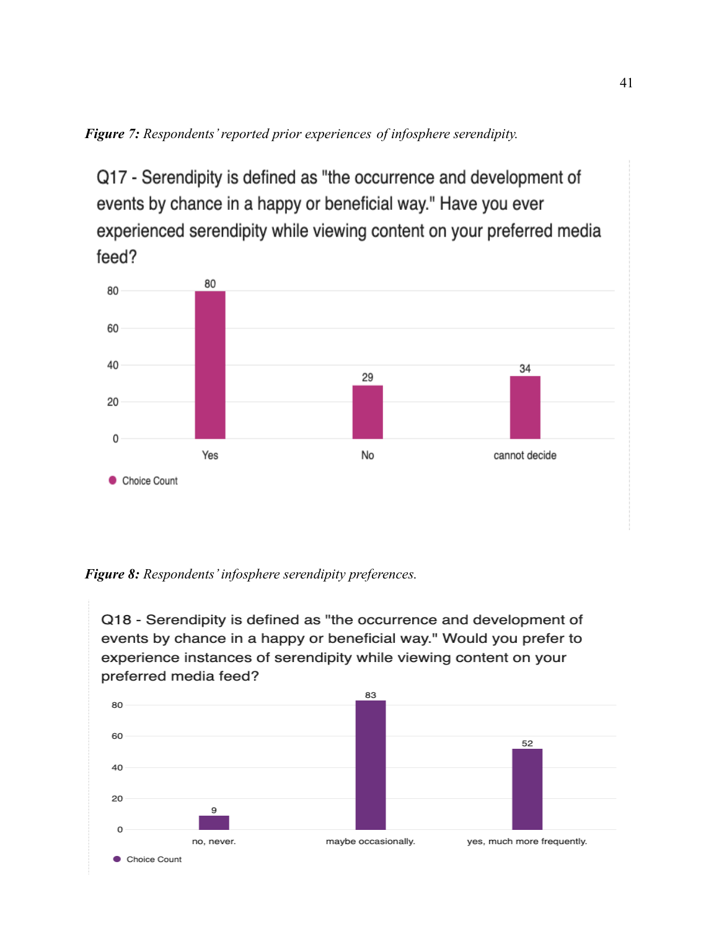*Figure 7: Respondents' reported prior experiences of infosphere serendipity.*

Q17 - Serendipity is defined as "the occurrence and development of events by chance in a happy or beneficial way." Have you ever experienced serendipity while viewing content on your preferred media feed?



*Figure 8: Respondents' infosphere serendipity preferences.*

Q18 - Serendipity is defined as "the occurrence and development of events by chance in a happy or beneficial way." Would you prefer to experience instances of serendipity while viewing content on your preferred media feed?

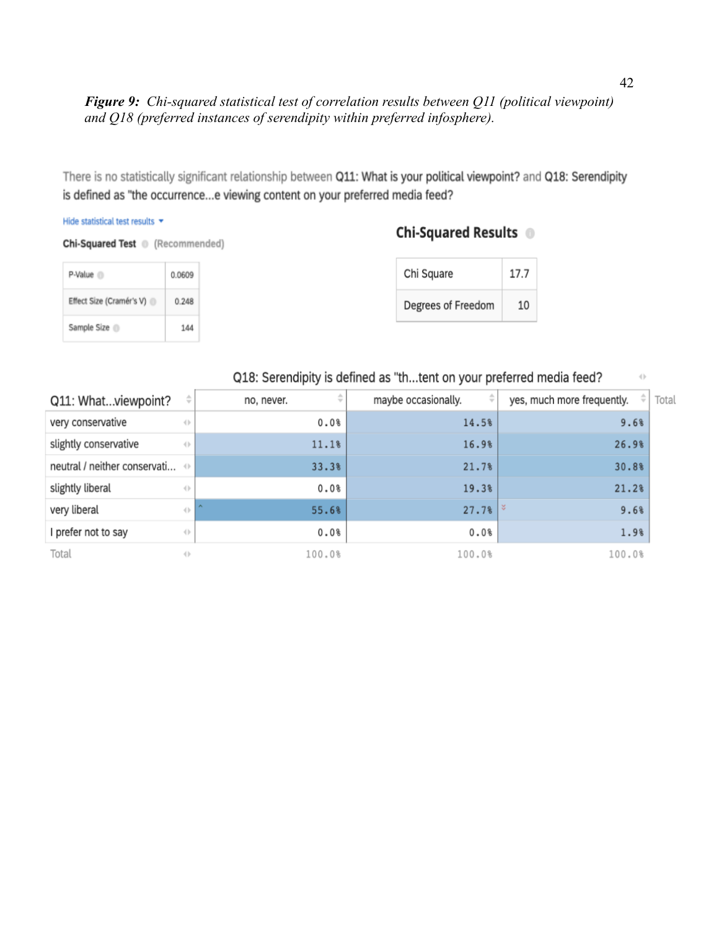*Figure 9: Chi-squared statistical test of correlation results between Q11 (political viewpoint) and Q18 (preferred instances of serendipity within preferred infosphere).*

There is no statistically significant relationship between Q11: What is your political viewpoint? and Q18: Serendipity is defined as "the occurrence...e viewing content on your preferred media feed?

#### Hide statistical test results \*

Chi-Squared Test (Recommended)

### Chi-Squared Results <sup>®</sup>

| P-Value <sup>1</sup>     | 0.0609 |
|--------------------------|--------|
| Effect Size (Cramér's V) | 0.248  |
| Sample Size              | 144    |

| Chi Square         | 17.7 |
|--------------------|------|
| Degrees of Freedom | 10   |

### Q18: Serendipity is defined as "th...tent on your preferred media feed?

| Q11: Whatviewpoint?                        | ÷                                                 | no, never.<br>$\overline{\phantom{a}}$ | ÷<br>maybe occasionally. | ÷<br>yes, much more frequently. |
|--------------------------------------------|---------------------------------------------------|----------------------------------------|--------------------------|---------------------------------|
| very conservative                          | $\langle \rangle$                                 | 0.0%                                   | 14.5%                    | 9.6%                            |
| slightly conservative                      | $\left\{ \right\}$                                | 11.1%                                  | 16.9%                    | 26.9%                           |
| neutral / neither conservati $\Rightarrow$ |                                                   | 33.3%                                  | 21.7%                    | 30.8%                           |
| slightly liberal                           | $\left\{ \left\vert \cdot \right\rangle \right\}$ | 0.0%                                   | 19.3%                    | 21.2%                           |
| very liberal                               | $\left\{ \right\}$                                | $\sim$<br>55.6%                        | $27.7%$ $\frac{8}{1}$    | 9.6%                            |
| prefer not to say                          | $\left\{ \right\}$                                | 0.0%                                   | 0.0%                     | 1.9%                            |
| Total                                      | $\langle$                                         | 100.0%                                 | 100.0%                   | 100.0%                          |

 $\langle \rangle$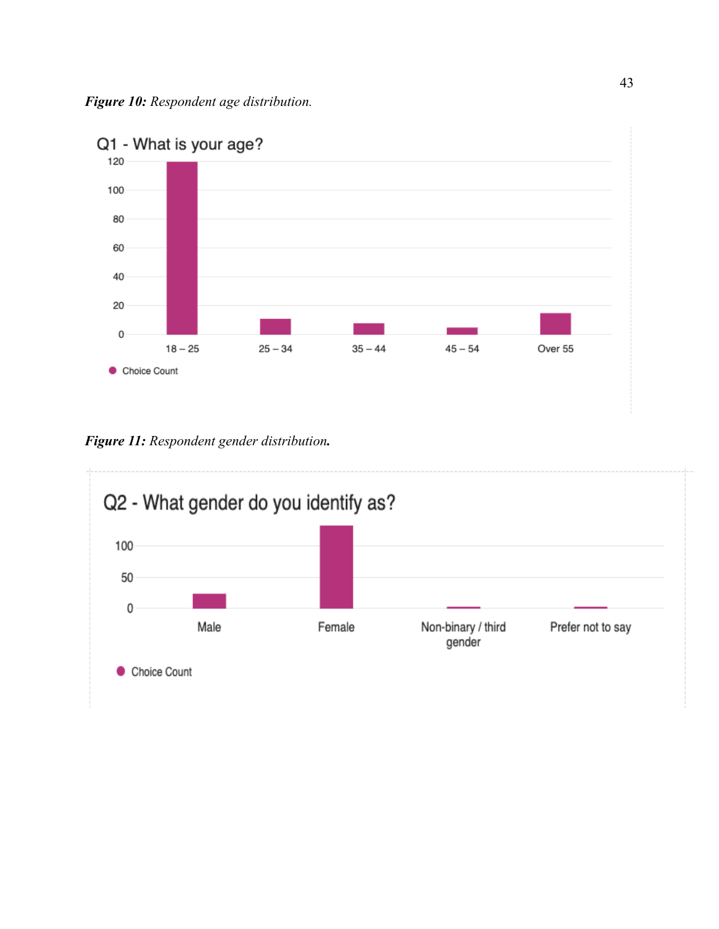

*Figure 11: Respondent gender distribution.*

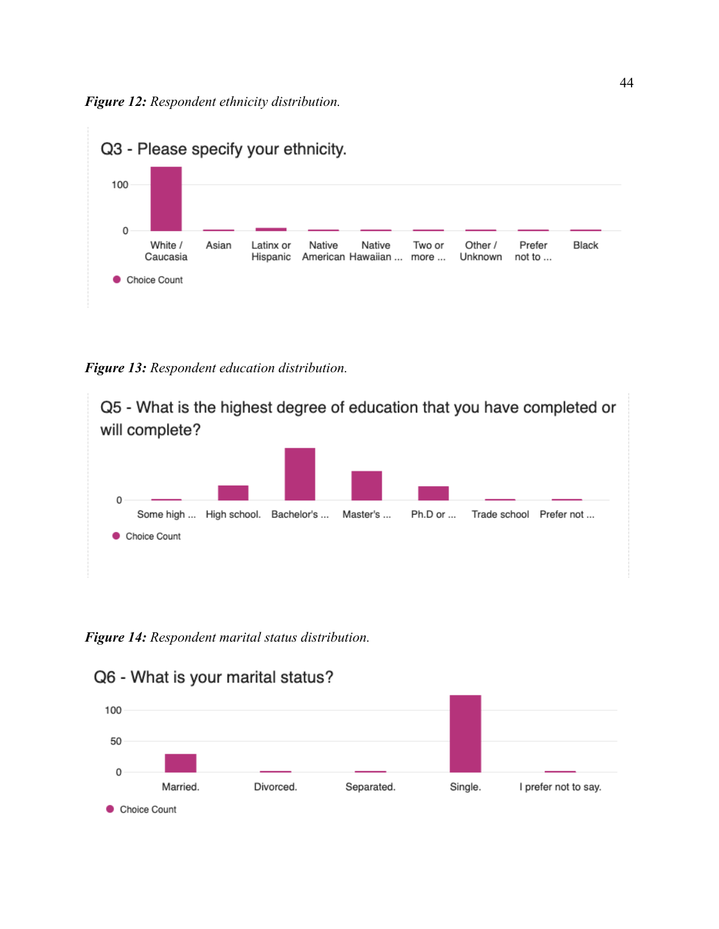

*Figure 13: Respondent education distribution.*



*Figure 14: Respondent marital status distribution.*

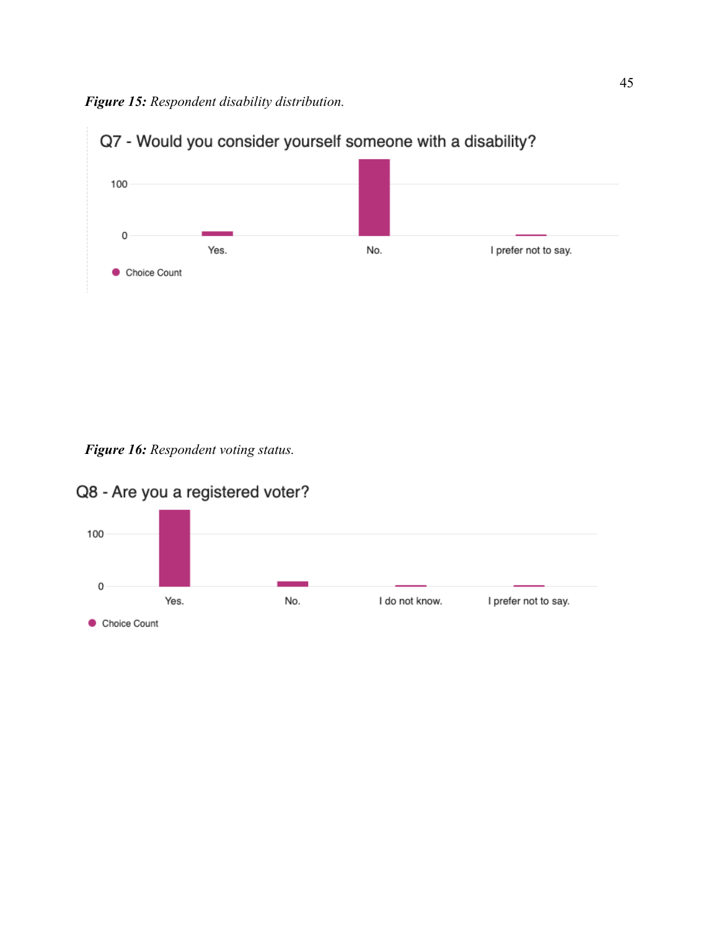*Figure 15: Respondent disability distribution.*



*Figure 16: Respondent voting status.*



# Q8 - Are you a registered voter?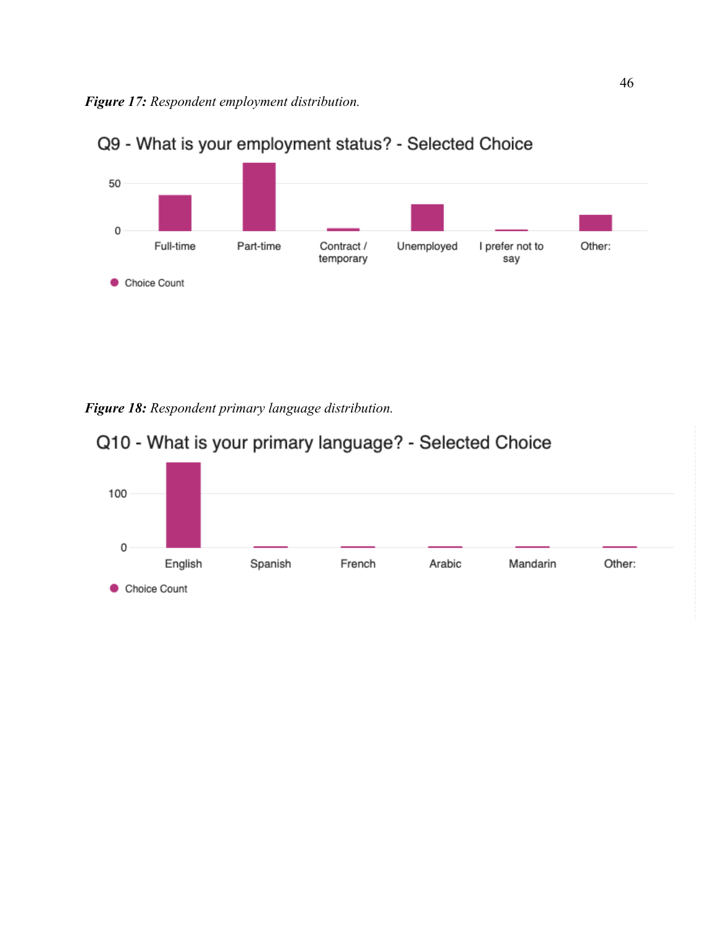

# Q9 - What is your employment status? - Selected Choice

*Figure 18: Respondent primary language distribution.*

# Q10 - What is your primary language? - Selected Choice